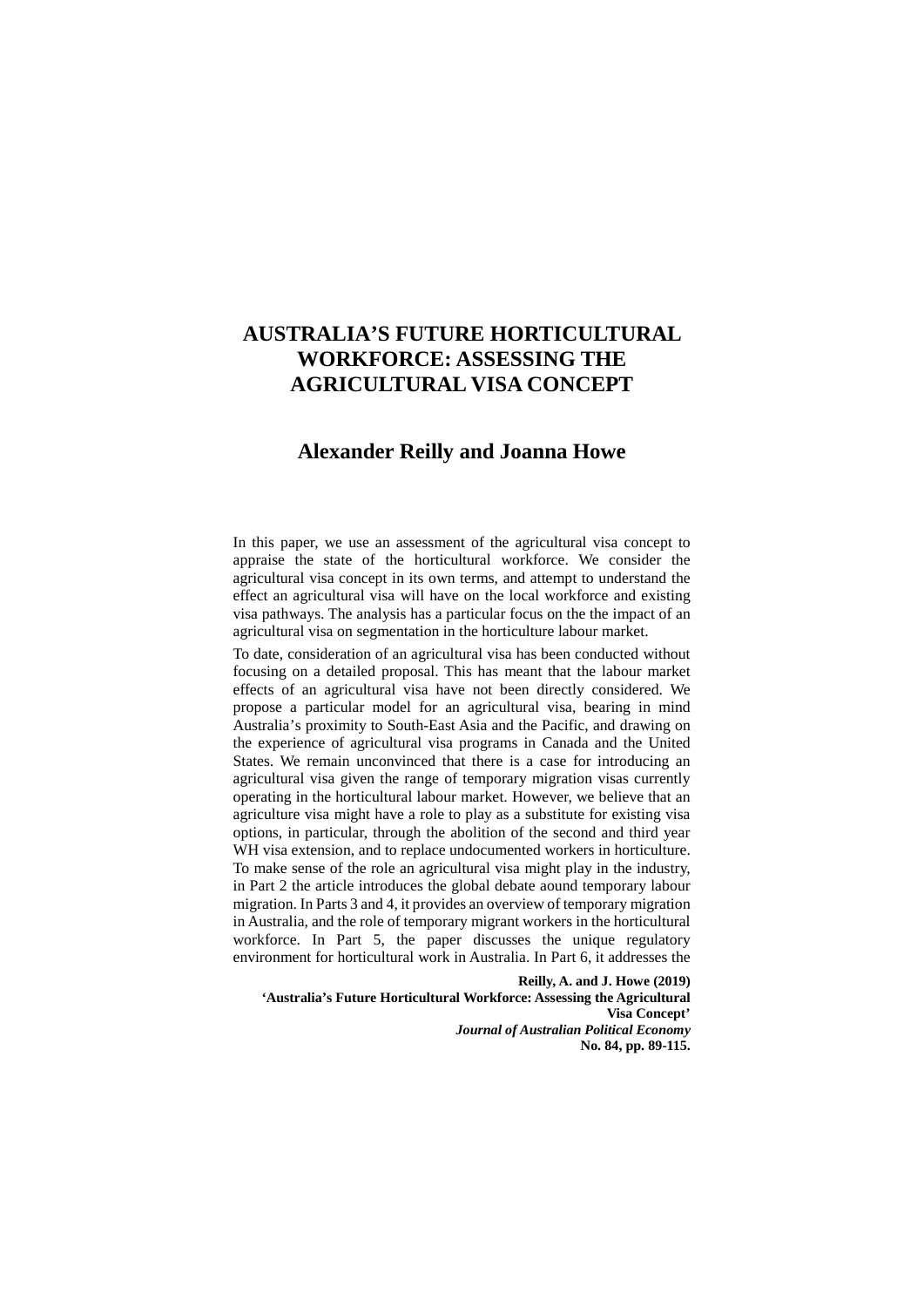# **AUSTRALIA'S FUTURE HORTICULTURAL WORKFORCE: ASSESSING THE AGRICULTURAL VISA CONCEPT**

# **Alexander Reilly and Joanna Howe**

In this paper, we use an assessment of the agricultural visa concept to appraise the state of the horticultural workforce. We consider the agricultural visa concept in its own terms, and attempt to understand the effect an agricultural visa will have on the local workforce and existing visa pathways. The analysis has a particular focus on the the impact of an agricultural visa on segmentation in the horticulture labour market.

To date, consideration of an agricultural visa has been conducted without focusing on a detailed proposal. This has meant that the labour market effects of an agricultural visa have not been directly considered. We propose a particular model for an agricultural visa, bearing in mind Australia's proximity to South-East Asia and the Pacific, and drawing on the experience of agricultural visa programs in Canada and the United States. We remain unconvinced that there is a case for introducing an agricultural visa given the range of temporary migration visas currently operating in the horticultural labour market. However, we believe that an agriculture visa might have a role to play as a substitute for existing visa options, in particular, through the abolition of the second and third year WH visa extension, and to replace undocumented workers in horticulture. To make sense of the role an agricultural visa might play in the industry, in Part 2 the article introduces the global debate aound temporary labour migration. In Parts 3 and 4, it provides an overview of temporary migration in Australia, and the role of temporary migrant workers in the horticultural workforce. In Part 5, the paper discusses the unique regulatory environment for horticultural work in Australia. In Part 6, it addresses the

**Reilly, A. and J. Howe (2019) 'Australia's Future Horticultural Workforce: Assessing the Agricultural Visa Concept'**  *Journal of Australian Political Economy* **No. 84, pp. 89-115.**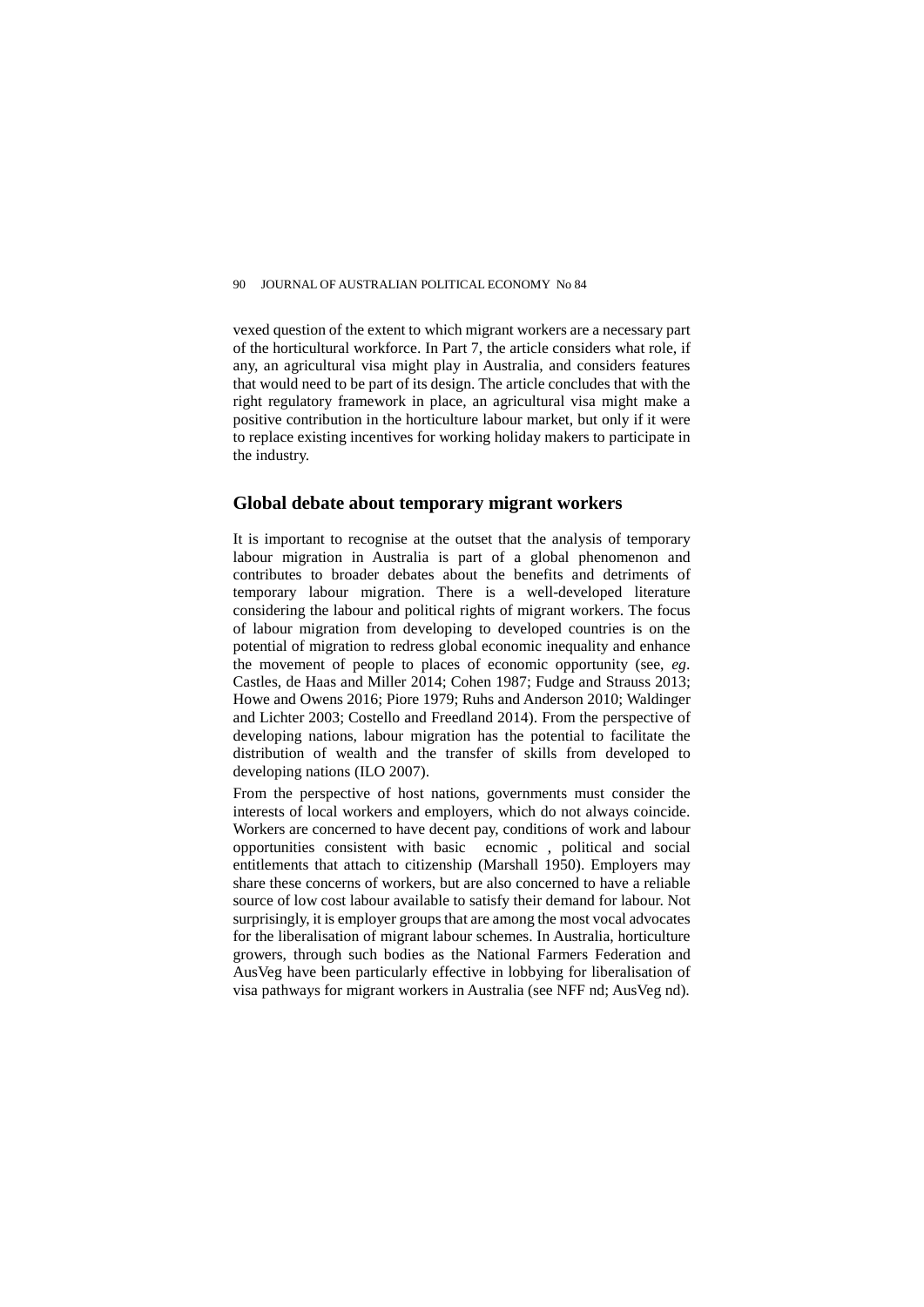vexed question of the extent to which migrant workers are a necessary part of the horticultural workforce. In Part 7, the article considers what role, if any, an agricultural visa might play in Australia, and considers features that would need to be part of its design. The article concludes that with the right regulatory framework in place, an agricultural visa might make a positive contribution in the horticulture labour market, but only if it were to replace existing incentives for working holiday makers to participate in the industry.

# **Global debate about temporary migrant workers**

It is important to recognise at the outset that the analysis of temporary labour migration in Australia is part of a global phenomenon and contributes to broader debates about the benefits and detriments of temporary labour migration. There is a well-developed literature considering the labour and political rights of migrant workers. The focus of labour migration from developing to developed countries is on the potential of migration to redress global economic inequality and enhance the movement of people to places of economic opportunity (see, *eg*. Castles, de Haas and Miller 2014; Cohen 1987; Fudge and Strauss 2013; Howe and Owens 2016; Piore 1979; Ruhs and Anderson 2010; Waldinger and Lichter 2003; Costello and Freedland 2014). From the perspective of developing nations, labour migration has the potential to facilitate the distribution of wealth and the transfer of skills from developed to developing nations (ILO 2007).

From the perspective of host nations, governments must consider the interests of local workers and employers, which do not always coincide. Workers are concerned to have decent pay, conditions of work and labour opportunities consistent with basic ecnomic , political and social entitlements that attach to citizenship (Marshall 1950). Employers may share these concerns of workers, but are also concerned to have a reliable source of low cost labour available to satisfy their demand for labour. Not surprisingly, it is employer groups that are among the most vocal advocates for the liberalisation of migrant labour schemes. In Australia, horticulture growers, through such bodies as the National Farmers Federation and AusVeg have been particularly effective in lobbying for liberalisation of visa pathways for migrant workers in Australia (see NFF nd; AusVeg nd).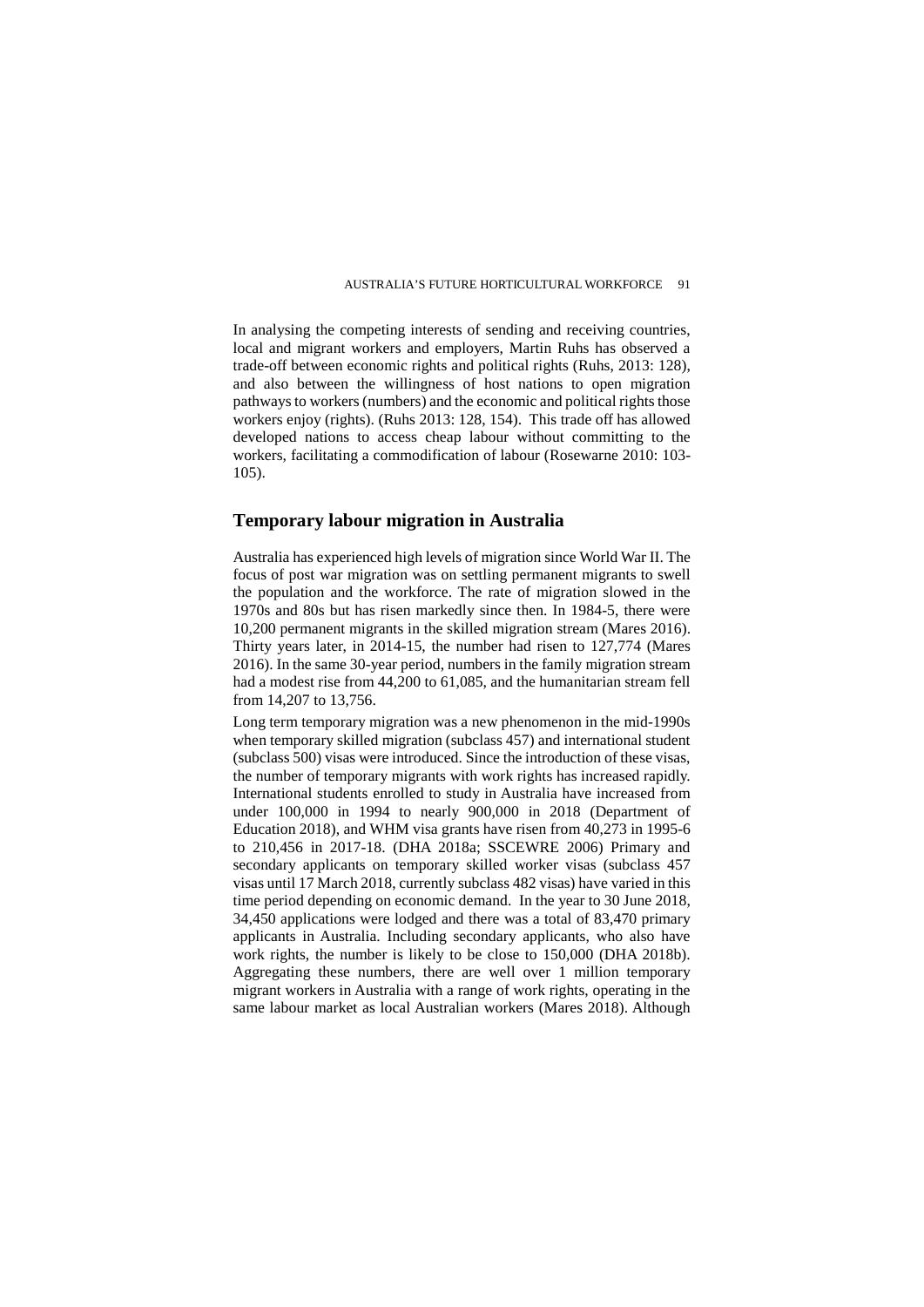In analysing the competing interests of sending and receiving countries, local and migrant workers and employers, Martin Ruhs has observed a trade-off between economic rights and political rights (Ruhs, 2013: 128), and also between the willingness of host nations to open migration pathways to workers (numbers) and the economic and political rights those workers enjoy (rights). (Ruhs 2013: 128, 154). This trade off has allowed developed nations to access cheap labour without committing to the workers, facilitating a commodification of labour (Rosewarne 2010: 103- 105).

# **Temporary labour migration in Australia**

Australia has experienced high levels of migration since World War II. The focus of post war migration was on settling permanent migrants to swell the population and the workforce. The rate of migration slowed in the 1970s and 80s but has risen markedly since then. In 1984-5, there were 10,200 permanent migrants in the skilled migration stream (Mares 2016). Thirty years later, in 2014-15, the number had risen to 127,774 (Mares 2016). In the same 30-year period, numbers in the family migration stream had a modest rise from 44,200 to 61,085, and the humanitarian stream fell from 14,207 to 13,756.

Long term temporary migration was a new phenomenon in the mid-1990s when temporary skilled migration (subclass 457) and international student (subclass 500) visas were introduced. Since the introduction of these visas, the number of temporary migrants with work rights has increased rapidly. International students enrolled to study in Australia have increased from under 100,000 in 1994 to nearly 900,000 in 2018 (Department of Education 2018), and WHM visa grants have risen from 40,273 in 1995-6 to 210,456 in 2017-18. (DHA 2018a; SSCEWRE 2006) Primary and secondary applicants on temporary skilled worker visas (subclass 457 visas until 17 March 2018, currently subclass 482 visas) have varied in this time period depending on economic demand. In the year to 30 June 2018, 34,450 applications were lodged and there was a total of 83,470 primary applicants in Australia. Including secondary applicants, who also have work rights, the number is likely to be close to 150,000 (DHA 2018b). Aggregating these numbers, there are well over 1 million temporary migrant workers in Australia with a range of work rights, operating in the same labour market as local Australian workers (Mares 2018). Although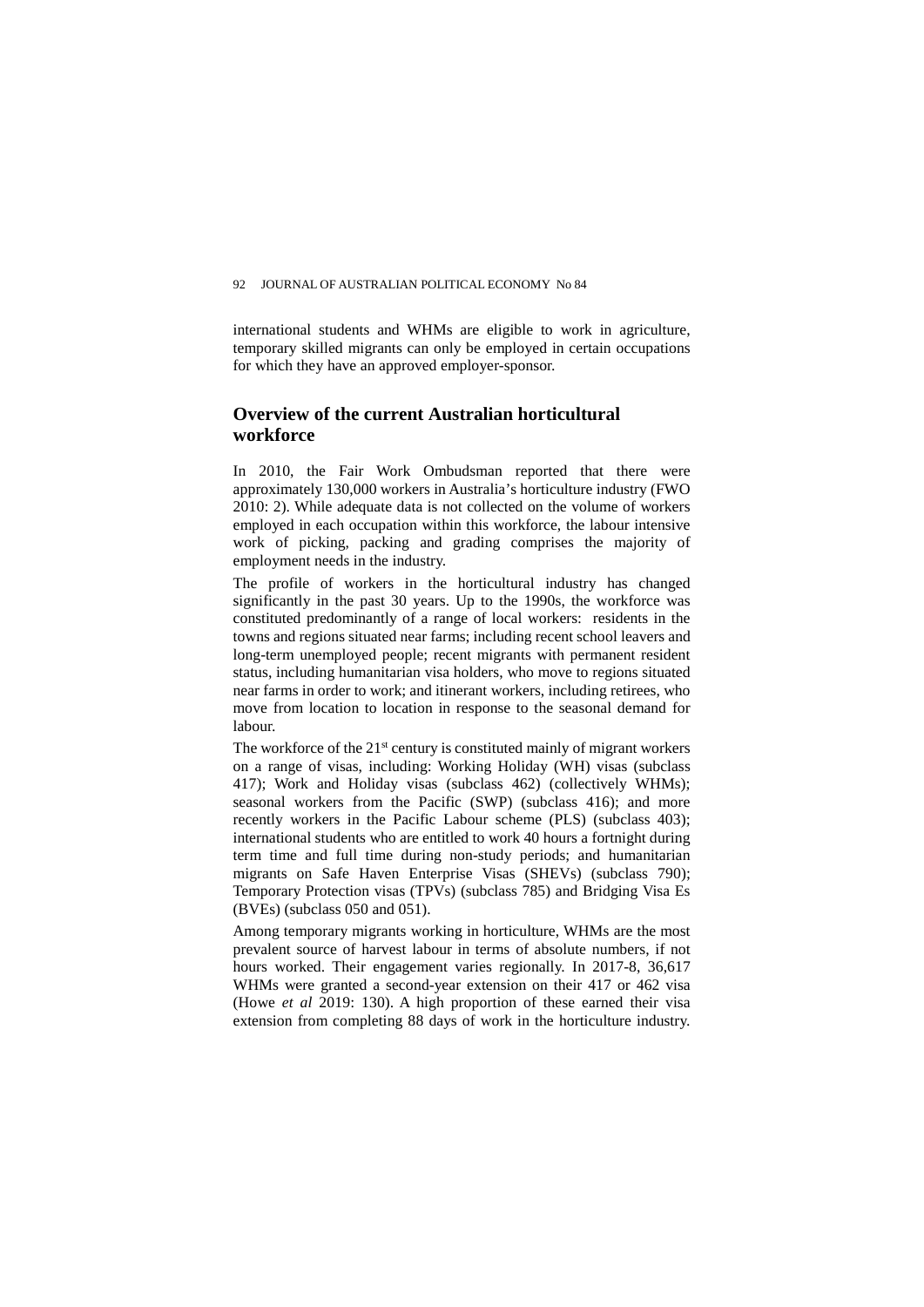international students and WHMs are eligible to work in agriculture, temporary skilled migrants can only be employed in certain occupations for which they have an approved employer-sponsor.

# **Overview of the current Australian horticultural workforce**

In 2010, the Fair Work Ombudsman reported that there were approximately 130,000 workers in Australia's horticulture industry (FWO 2010: 2). While adequate data is not collected on the volume of workers employed in each occupation within this workforce, the labour intensive work of picking, packing and grading comprises the majority of employment needs in the industry.

The profile of workers in the horticultural industry has changed significantly in the past 30 years. Up to the 1990s, the workforce was constituted predominantly of a range of local workers: residents in the towns and regions situated near farms; including recent school leavers and long-term unemployed people; recent migrants with permanent resident status, including humanitarian visa holders, who move to regions situated near farms in order to work; and itinerant workers, including retirees, who move from location to location in response to the seasonal demand for labour.

The workforce of the  $21<sup>st</sup>$  century is constituted mainly of migrant workers on a range of visas, including: Working Holiday (WH) visas (subclass 417); Work and Holiday visas (subclass 462) (collectively WHMs); seasonal workers from the Pacific (SWP) (subclass 416); and more recently workers in the Pacific Labour scheme (PLS) (subclass 403); international students who are entitled to work 40 hours a fortnight during term time and full time during non-study periods; and humanitarian migrants on Safe Haven Enterprise Visas (SHEVs) (subclass 790); Temporary Protection visas (TPVs) (subclass 785) and Bridging Visa Es (BVEs) (subclass 050 and 051).

Among temporary migrants working in horticulture, WHMs are the most prevalent source of harvest labour in terms of absolute numbers, if not hours worked. Their engagement varies regionally. In 2017-8, 36,617 WHMs were granted a second-year extension on their 417 or 462 visa (Howe *et al* 2019: 130). A high proportion of these earned their visa extension from completing 88 days of work in the horticulture industry.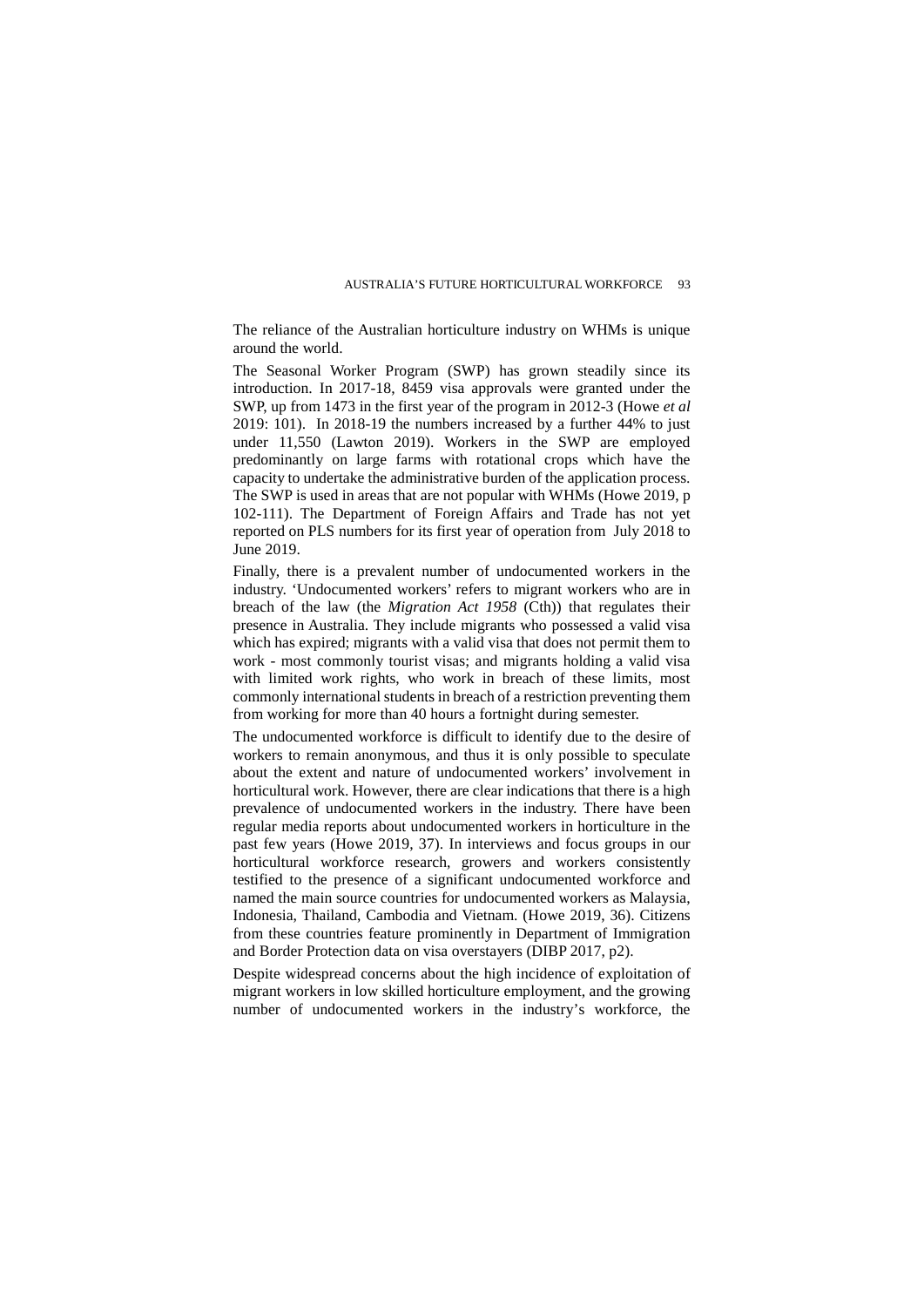The reliance of the Australian horticulture industry on WHMs is unique around the world.

The Seasonal Worker Program (SWP) has grown steadily since its introduction. In 2017-18, 8459 visa approvals were granted under the SWP, up from 1473 in the first year of the program in 2012-3 (Howe *et al* 2019: 101). In 2018-19 the numbers increased by a further 44% to just under 11,550 (Lawton 2019). Workers in the SWP are employed predominantly on large farms with rotational crops which have the capacity to undertake the administrative burden of the application process. The SWP is used in areas that are not popular with WHMs (Howe 2019, p 102-111). The Department of Foreign Affairs and Trade has not yet reported on PLS numbers for its first year of operation from July 2018 to June 2019.

Finally, there is a prevalent number of undocumented workers in the industry. 'Undocumented workers' refers to migrant workers who are in breach of the law (the *Migration Act 1958* (Cth)) that regulates their presence in Australia. They include migrants who possessed a valid visa which has expired; migrants with a valid visa that does not permit them to work - most commonly tourist visas; and migrants holding a valid visa with limited work rights, who work in breach of these limits, most commonly international students in breach of a restriction preventing them from working for more than 40 hours a fortnight during semester.

The undocumented workforce is difficult to identify due to the desire of workers to remain anonymous, and thus it is only possible to speculate about the extent and nature of undocumented workers' involvement in horticultural work. However, there are clear indications that there is a high prevalence of undocumented workers in the industry. There have been regular media reports about undocumented workers in horticulture in the past few years (Howe 2019, 37). In interviews and focus groups in our horticultural workforce research, growers and workers consistently testified to the presence of a significant undocumented workforce and named the main source countries for undocumented workers as Malaysia, Indonesia, Thailand, Cambodia and Vietnam. (Howe 2019, 36). Citizens from these countries feature prominently in Department of Immigration and Border Protection data on visa overstayers (DIBP 2017, p2).

Despite widespread concerns about the high incidence of exploitation of migrant workers in low skilled horticulture employment, and the growing number of undocumented workers in the industry's workforce, the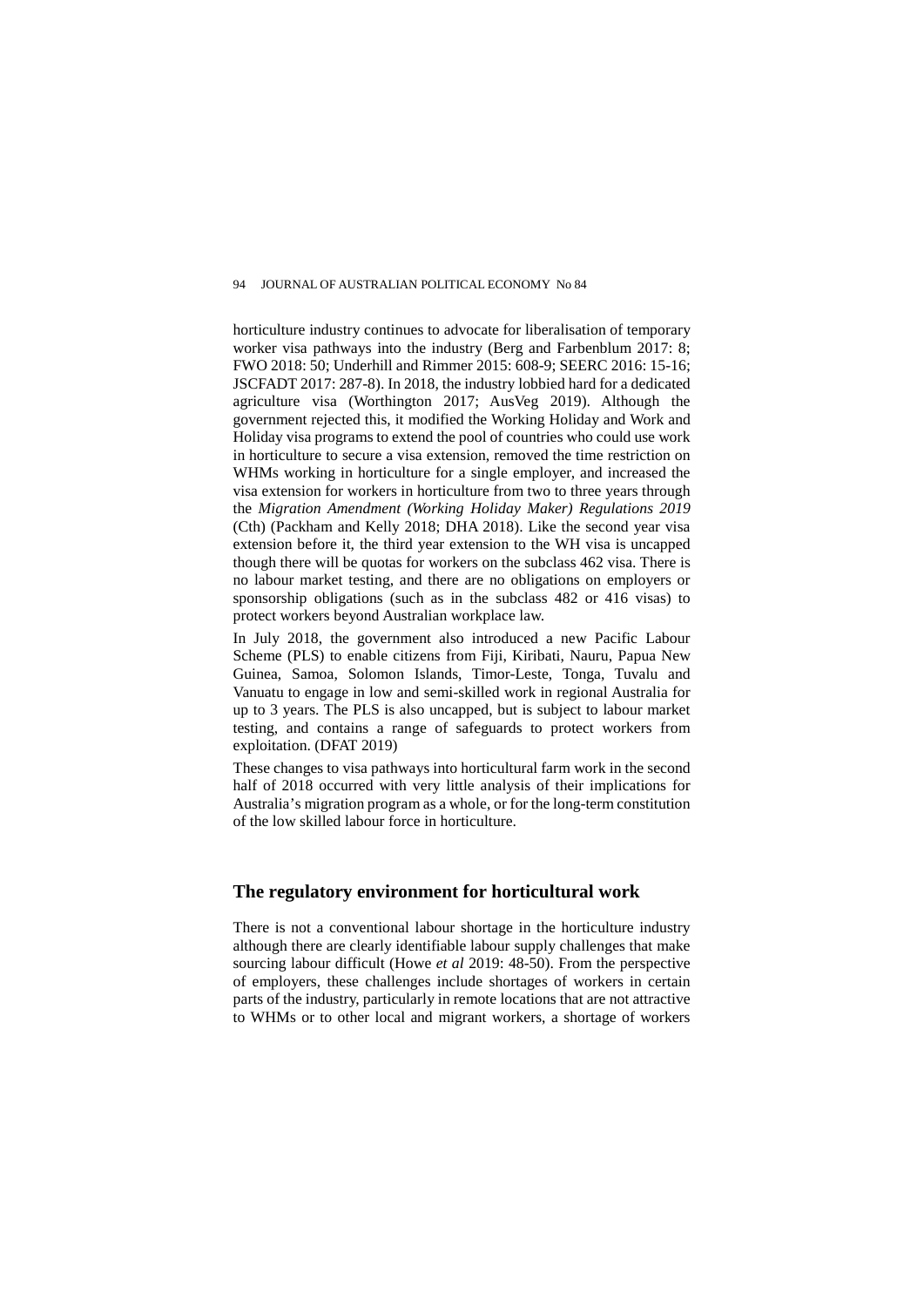horticulture industry continues to advocate for liberalisation of temporary worker visa pathways into the industry (Berg and Farbenblum 2017: 8; FWO 2018: 50; Underhill and Rimmer 2015: 608-9; SEERC 2016: 15-16; JSCFADT 2017: 287-8). In 2018, the industry lobbied hard for a dedicated agriculture visa (Worthington 2017; AusVeg 2019). Although the government rejected this, it modified the Working Holiday and Work and Holiday visa programs to extend the pool of countries who could use work in horticulture to secure a visa extension, removed the time restriction on WHMs working in horticulture for a single employer, and increased the visa extension for workers in horticulture from two to three years through the *Migration Amendment (Working Holiday Maker) Regulations 2019* (Cth) (Packham and Kelly 2018; DHA 2018). Like the second year visa extension before it, the third year extension to the WH visa is uncapped though there will be quotas for workers on the subclass 462 visa. There is no labour market testing, and there are no obligations on employers or sponsorship obligations (such as in the subclass 482 or 416 visas) to protect workers beyond Australian workplace law.

In July 2018, the government also introduced a new Pacific Labour Scheme (PLS) to enable citizens from Fiji, Kiribati, Nauru, Papua New Guinea, Samoa, Solomon Islands, Timor-Leste, Tonga, Tuvalu and Vanuatu to engage in low and semi-skilled work in regional Australia for up to 3 years. The PLS is also uncapped, but is subject to labour market testing, and contains a range of safeguards to protect workers from exploitation. (DFAT 2019)

These changes to visa pathways into horticultural farm work in the second half of 2018 occurred with very little analysis of their implications for Australia's migration program as a whole, or for the long-term constitution of the low skilled labour force in horticulture.

# **The regulatory environment for horticultural work**

There is not a conventional labour shortage in the horticulture industry although there are clearly identifiable labour supply challenges that make sourcing labour difficult (Howe *et al* 2019: 48-50). From the perspective of employers, these challenges include shortages of workers in certain parts of the industry, particularly in remote locations that are not attractive to WHMs or to other local and migrant workers, a shortage of workers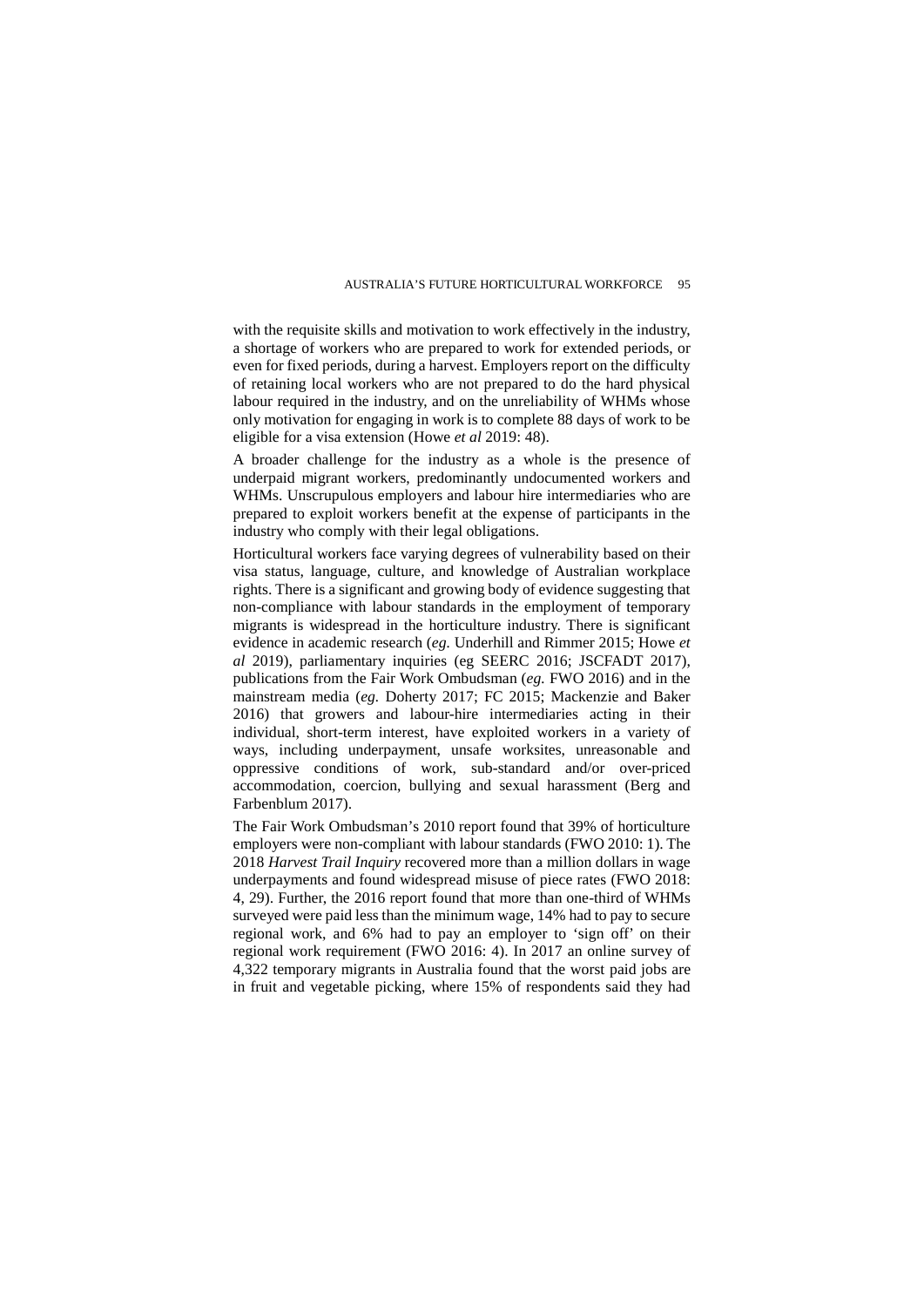with the requisite skills and motivation to work effectively in the industry, a shortage of workers who are prepared to work for extended periods, or even for fixed periods, during a harvest. Employers report on the difficulty of retaining local workers who are not prepared to do the hard physical labour required in the industry, and on the unreliability of WHMs whose only motivation for engaging in work is to complete 88 days of work to be eligible for a visa extension (Howe *et al* 2019: 48).

A broader challenge for the industry as a whole is the presence of underpaid migrant workers, predominantly undocumented workers and WHMs. Unscrupulous employers and labour hire intermediaries who are prepared to exploit workers benefit at the expense of participants in the industry who comply with their legal obligations.

Horticultural workers face varying degrees of vulnerability based on their visa status, language, culture, and knowledge of Australian workplace rights. There is a significant and growing body of evidence suggesting that non-compliance with labour standards in the employment of temporary migrants is widespread in the horticulture industry. There is significant evidence in academic research (*eg.* Underhill and Rimmer 2015; Howe *et al* 2019), parliamentary inquiries (eg SEERC 2016; JSCFADT 2017), publications from the Fair Work Ombudsman (*eg.* FWO 2016) and in the mainstream media (*eg.* Doherty 2017; FC 2015; Mackenzie and Baker 2016) that growers and labour-hire intermediaries acting in their individual, short-term interest, have exploited workers in a variety of ways, including underpayment, unsafe worksites, unreasonable and oppressive conditions of work, sub-standard and/or over-priced accommodation, coercion, bullying and sexual harassment (Berg and Farbenblum 2017).

The Fair Work Ombudsman's 2010 report found that 39% of horticulture employers were non-compliant with labour standards (FWO 2010: 1). The 2018 *Harvest Trail Inquiry* recovered more than a million dollars in wage underpayments and found widespread misuse of piece rates (FWO 2018: 4, 29). Further, the 2016 report found that more than one-third of WHMs surveyed were paid less than the minimum wage, 14% had to pay to secure regional work, and 6% had to pay an employer to 'sign off' on their regional work requirement (FWO 2016: 4). In 2017 an online survey of 4,322 temporary migrants in Australia found that the worst paid jobs are in fruit and vegetable picking, where 15% of respondents said they had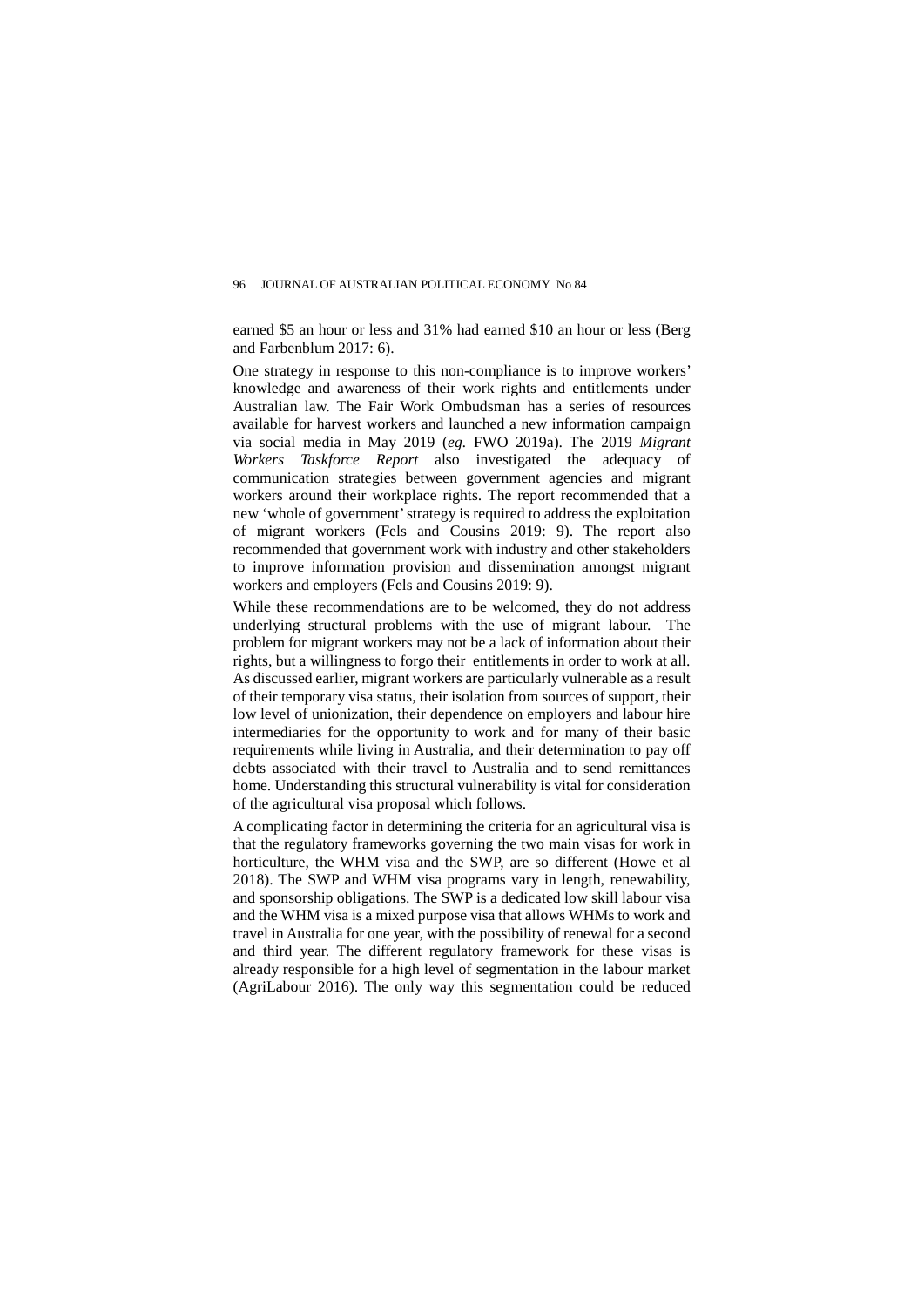earned \$5 an hour or less and 31% had earned \$10 an hour or less (Berg and Farbenblum 2017: 6).

One strategy in response to this non-compliance is to improve workers' knowledge and awareness of their work rights and entitlements under Australian law. The Fair Work Ombudsman has a series of resources available for harvest workers and launched a new information campaign via social media in May 2019 (*eg.* FWO 2019a). The 2019 *Migrant Workers Taskforce Report* also investigated the adequacy of communication strategies between government agencies and migrant workers around their workplace rights. The report recommended that a new 'whole of government' strategy is required to address the exploitation of migrant workers (Fels and Cousins 2019: 9). The report also recommended that government work with industry and other stakeholders to improve information provision and dissemination amongst migrant workers and employers (Fels and Cousins 2019: 9).

While these recommendations are to be welcomed, they do not address underlying structural problems with the use of migrant labour. The problem for migrant workers may not be a lack of information about their rights, but a willingness to forgo their entitlements in order to work at all. As discussed earlier, migrant workers are particularly vulnerable as a result of their temporary visa status, their isolation from sources of support, their low level of unionization, their dependence on employers and labour hire intermediaries for the opportunity to work and for many of their basic requirements while living in Australia, and their determination to pay off debts associated with their travel to Australia and to send remittances home. Understanding this structural vulnerability is vital for consideration of the agricultural visa proposal which follows.

A complicating factor in determining the criteria for an agricultural visa is that the regulatory frameworks governing the two main visas for work in horticulture, the WHM visa and the SWP, are so different (Howe et al 2018). The SWP and WHM visa programs vary in length, renewability, and sponsorship obligations. The SWP is a dedicated low skill labour visa and the WHM visa is a mixed purpose visa that allows WHMs to work and travel in Australia for one year, with the possibility of renewal for a second and third year. The different regulatory framework for these visas is already responsible for a high level of segmentation in the labour market (AgriLabour 2016). The only way this segmentation could be reduced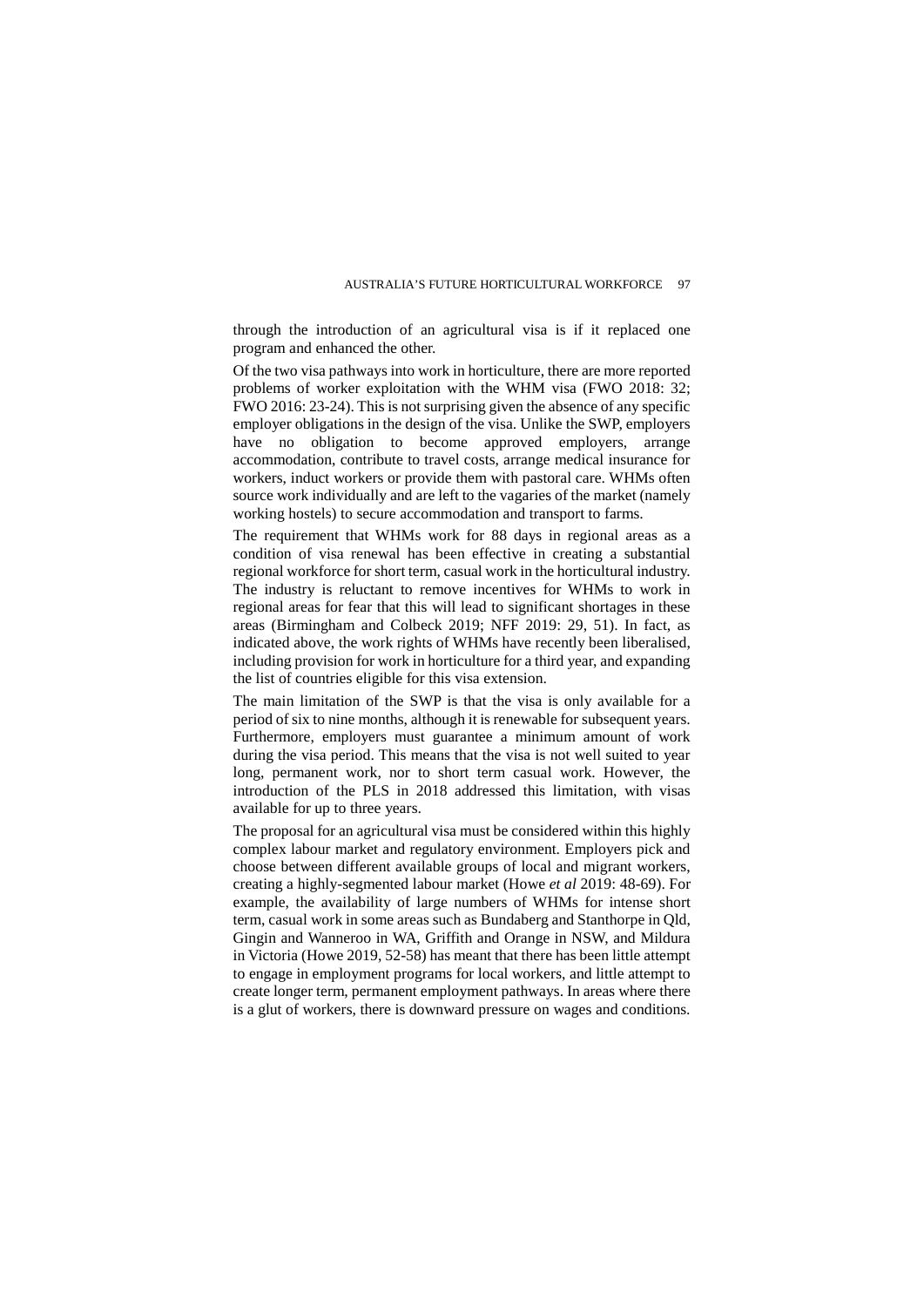through the introduction of an agricultural visa is if it replaced one program and enhanced the other.

Of the two visa pathways into work in horticulture, there are more reported problems of worker exploitation with the WHM visa (FWO 2018: 32; FWO 2016: 23-24). This is not surprising given the absence of any specific employer obligations in the design of the visa. Unlike the SWP, employers have no obligation to become approved employers, arrange accommodation, contribute to travel costs, arrange medical insurance for workers, induct workers or provide them with pastoral care. WHMs often source work individually and are left to the vagaries of the market (namely working hostels) to secure accommodation and transport to farms.

The requirement that WHMs work for 88 days in regional areas as a condition of visa renewal has been effective in creating a substantial regional workforce for short term, casual work in the horticultural industry. The industry is reluctant to remove incentives for WHMs to work in regional areas for fear that this will lead to significant shortages in these areas (Birmingham and Colbeck 2019; NFF 2019: 29, 51). In fact, as indicated above, the work rights of WHMs have recently been liberalised, including provision for work in horticulture for a third year, and expanding the list of countries eligible for this visa extension.

The main limitation of the SWP is that the visa is only available for a period of six to nine months, although it is renewable for subsequent years. Furthermore, employers must guarantee a minimum amount of work during the visa period. This means that the visa is not well suited to year long, permanent work, nor to short term casual work. However, the introduction of the PLS in 2018 addressed this limitation, with visas available for up to three years.

The proposal for an agricultural visa must be considered within this highly complex labour market and regulatory environment. Employers pick and choose between different available groups of local and migrant workers, creating a highly-segmented labour market (Howe *et al* 2019: 48-69). For example, the availability of large numbers of WHMs for intense short term, casual work in some areas such as Bundaberg and Stanthorpe in Qld, Gingin and Wanneroo in WA, Griffith and Orange in NSW, and Mildura in Victoria (Howe 2019, 52-58) has meant that there has been little attempt to engage in employment programs for local workers, and little attempt to create longer term, permanent employment pathways. In areas where there is a glut of workers, there is downward pressure on wages and conditions.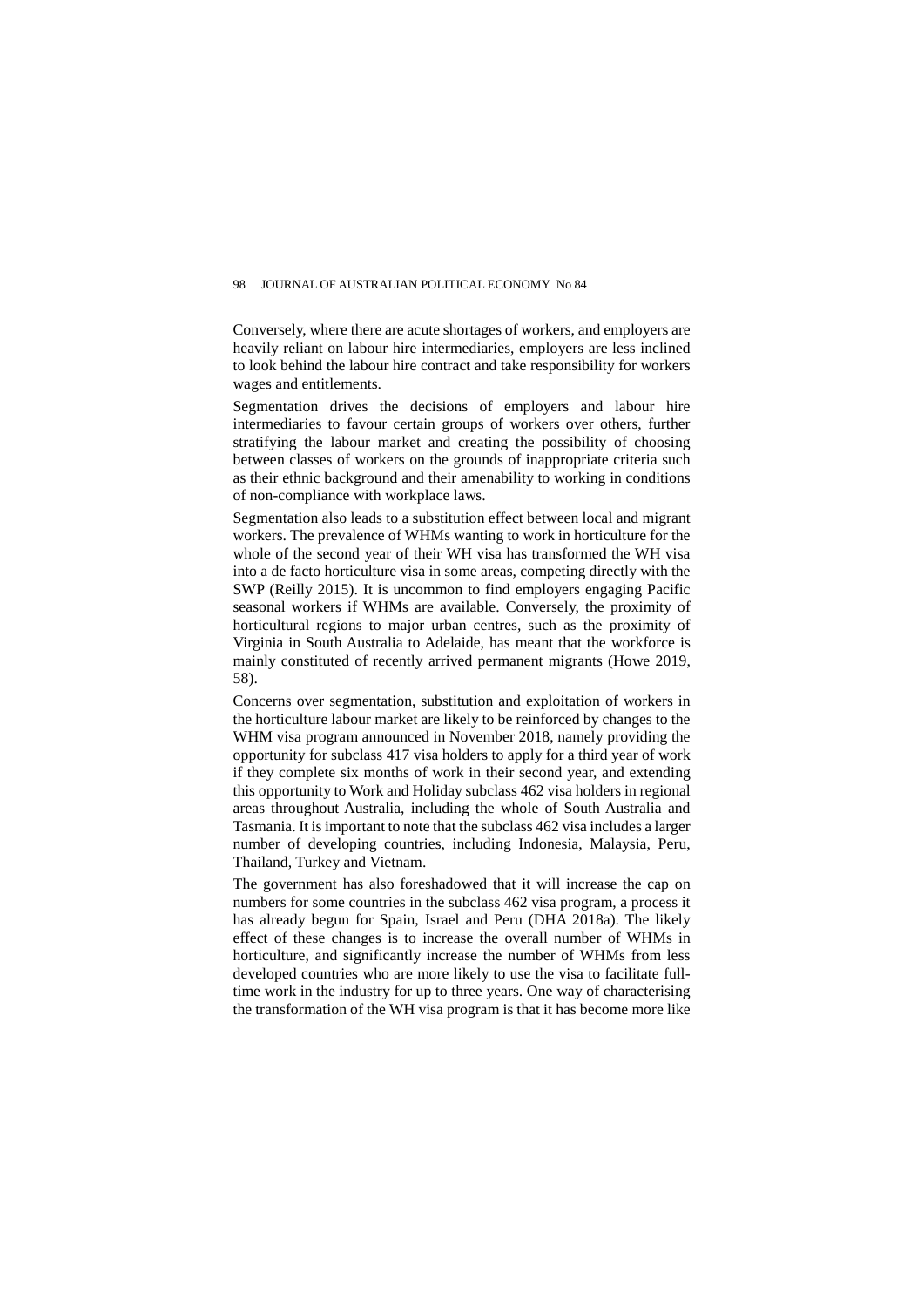Conversely, where there are acute shortages of workers, and employers are heavily reliant on labour hire intermediaries, employers are less inclined to look behind the labour hire contract and take responsibility for workers wages and entitlements.

Segmentation drives the decisions of employers and labour hire intermediaries to favour certain groups of workers over others, further stratifying the labour market and creating the possibility of choosing between classes of workers on the grounds of inappropriate criteria such as their ethnic background and their amenability to working in conditions of non-compliance with workplace laws.

Segmentation also leads to a substitution effect between local and migrant workers. The prevalence of WHMs wanting to work in horticulture for the whole of the second year of their WH visa has transformed the WH visa into a de facto horticulture visa in some areas, competing directly with the SWP (Reilly 2015). It is uncommon to find employers engaging Pacific seasonal workers if WHMs are available. Conversely, the proximity of horticultural regions to major urban centres, such as the proximity of Virginia in South Australia to Adelaide, has meant that the workforce is mainly constituted of recently arrived permanent migrants (Howe 2019, 58).

Concerns over segmentation, substitution and exploitation of workers in the horticulture labour market are likely to be reinforced by changes to the WHM visa program announced in November 2018, namely providing the opportunity for subclass 417 visa holders to apply for a third year of work if they complete six months of work in their second year, and extending this opportunity to Work and Holiday subclass 462 visa holders in regional areas throughout Australia, including the whole of South Australia and Tasmania. It is important to note that the subclass 462 visa includes a larger number of developing countries, including Indonesia, Malaysia, Peru, Thailand, Turkey and Vietnam.

The government has also foreshadowed that it will increase the cap on numbers for some countries in the subclass 462 visa program, a process it has already begun for Spain, Israel and Peru (DHA 2018a). The likely effect of these changes is to increase the overall number of WHMs in horticulture, and significantly increase the number of WHMs from less developed countries who are more likely to use the visa to facilitate fulltime work in the industry for up to three years. One way of characterising the transformation of the WH visa program is that it has become more like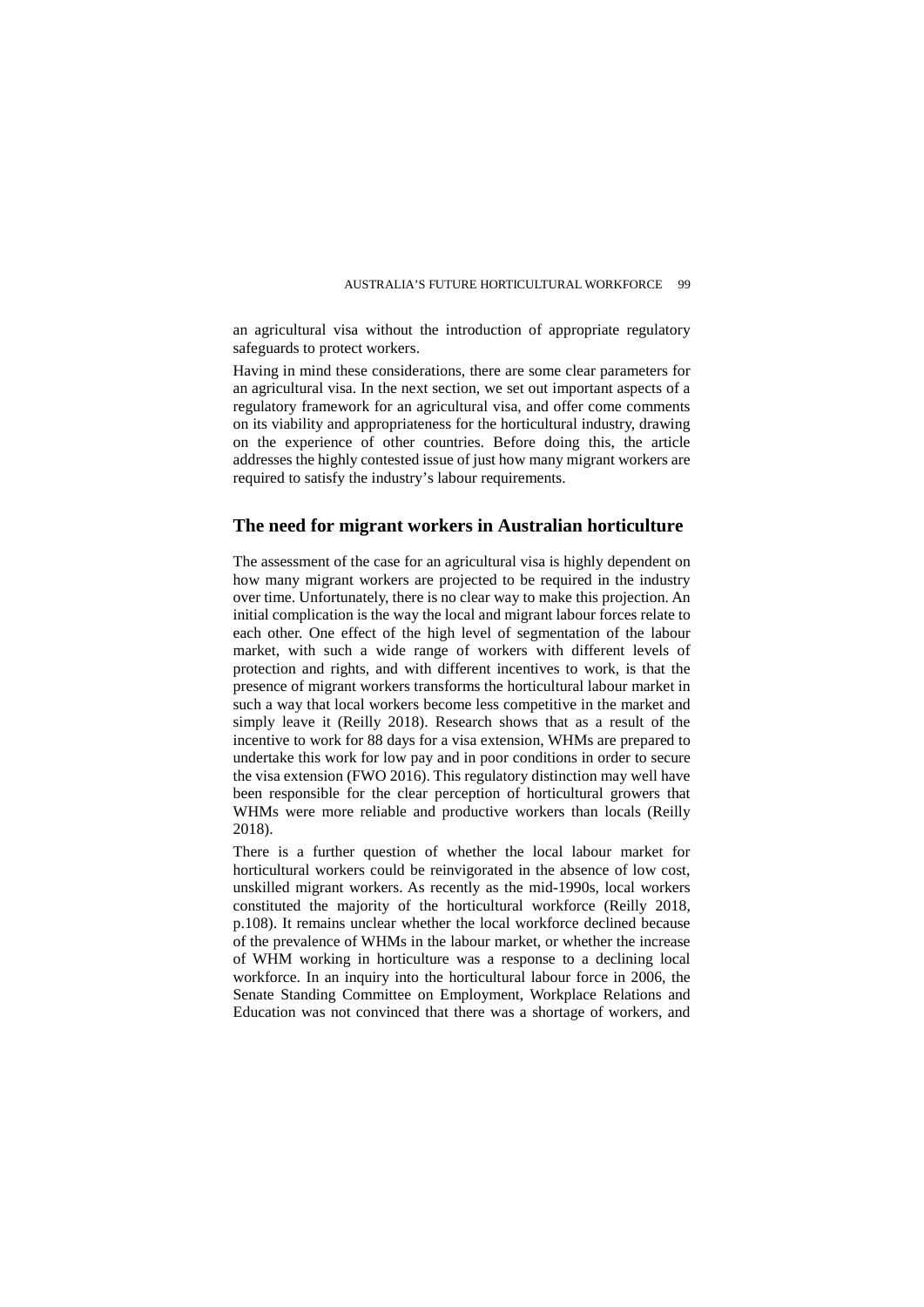an agricultural visa without the introduction of appropriate regulatory safeguards to protect workers.

Having in mind these considerations, there are some clear parameters for an agricultural visa. In the next section, we set out important aspects of a regulatory framework for an agricultural visa, and offer come comments on its viability and appropriateness for the horticultural industry, drawing on the experience of other countries. Before doing this, the article addresses the highly contested issue of just how many migrant workers are required to satisfy the industry's labour requirements.

# **The need for migrant workers in Australian horticulture**

The assessment of the case for an agricultural visa is highly dependent on how many migrant workers are projected to be required in the industry over time. Unfortunately, there is no clear way to make this projection. An initial complication is the way the local and migrant labour forces relate to each other. One effect of the high level of segmentation of the labour market, with such a wide range of workers with different levels of protection and rights, and with different incentives to work, is that the presence of migrant workers transforms the horticultural labour market in such a way that local workers become less competitive in the market and simply leave it (Reilly 2018). Research shows that as a result of the incentive to work for 88 days for a visa extension, WHMs are prepared to undertake this work for low pay and in poor conditions in order to secure the visa extension (FWO 2016). This regulatory distinction may well have been responsible for the clear perception of horticultural growers that WHMs were more reliable and productive workers than locals (Reilly 2018).

There is a further question of whether the local labour market for horticultural workers could be reinvigorated in the absence of low cost, unskilled migrant workers. As recently as the mid-1990s, local workers constituted the majority of the horticultural workforce (Reilly 2018, p.108). It remains unclear whether the local workforce declined because of the prevalence of WHMs in the labour market, or whether the increase of WHM working in horticulture was a response to a declining local workforce. In an inquiry into the horticultural labour force in 2006, the Senate Standing Committee on Employment, Workplace Relations and Education was not convinced that there was a shortage of workers, and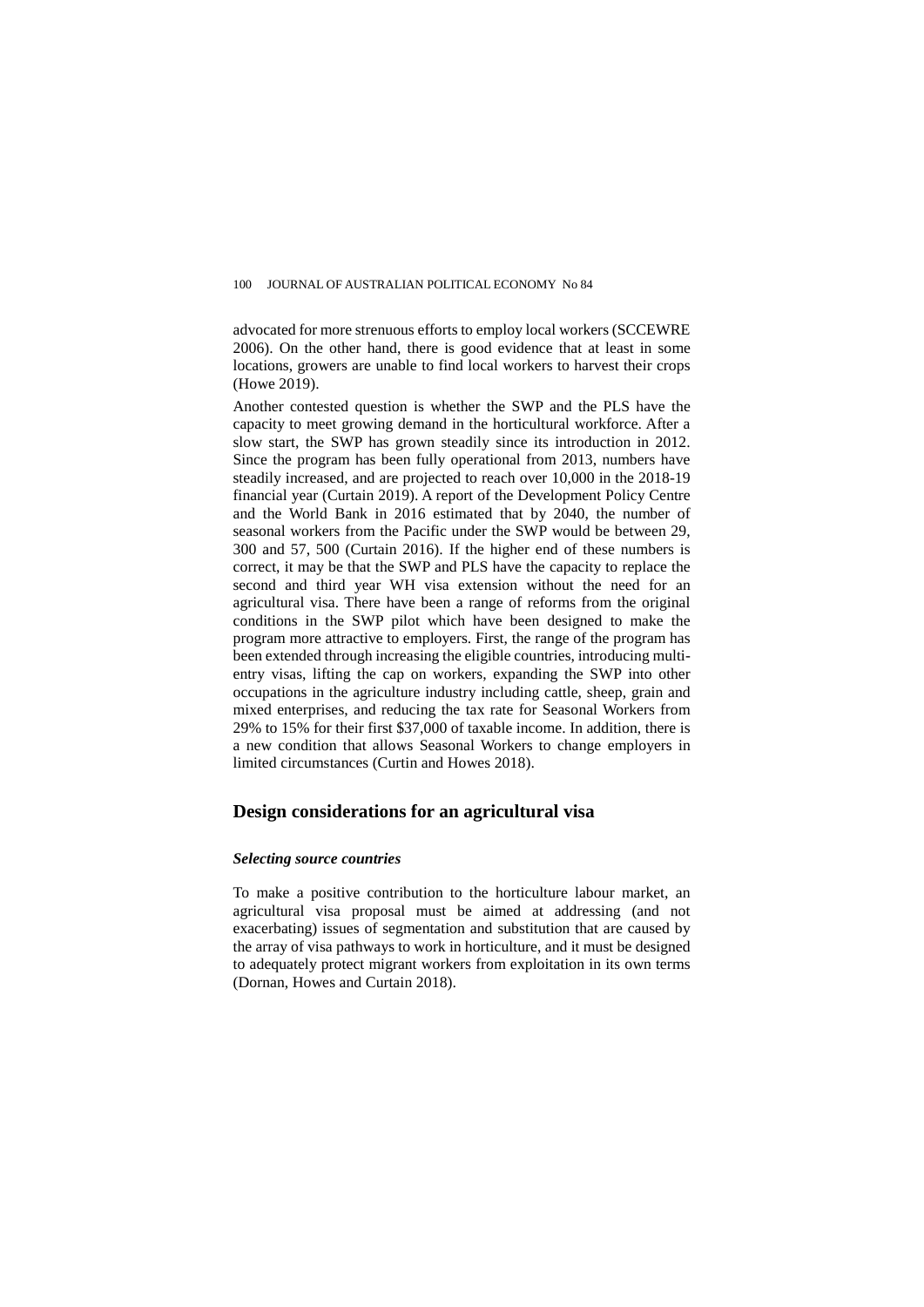advocated for more strenuous efforts to employ local workers (SCCEWRE 2006). On the other hand, there is good evidence that at least in some locations, growers are unable to find local workers to harvest their crops (Howe 2019).

Another contested question is whether the SWP and the PLS have the capacity to meet growing demand in the horticultural workforce. After a slow start, the SWP has grown steadily since its introduction in 2012. Since the program has been fully operational from 2013, numbers have steadily increased, and are projected to reach over 10,000 in the 2018-19 financial year (Curtain 2019). A report of the Development Policy Centre and the World Bank in 2016 estimated that by 2040, the number of seasonal workers from the Pacific under the SWP would be between 29, 300 and 57, 500 (Curtain 2016). If the higher end of these numbers is correct, it may be that the SWP and PLS have the capacity to replace the second and third year WH visa extension without the need for an agricultural visa. There have been a range of reforms from the original conditions in the SWP pilot which have been designed to make the program more attractive to employers. First, the range of the program has been extended through increasing the eligible countries, introducing multientry visas, lifting the cap on workers, expanding the SWP into other occupations in the agriculture industry including cattle, sheep, grain and mixed enterprises, and reducing the tax rate for Seasonal Workers from 29% to 15% for their first \$37,000 of taxable income. In addition, there is a new condition that allows Seasonal Workers to change employers in limited circumstances (Curtin and Howes 2018).

# **Design considerations for an agricultural visa**

#### *Selecting source countries*

To make a positive contribution to the horticulture labour market, an agricultural visa proposal must be aimed at addressing (and not exacerbating) issues of segmentation and substitution that are caused by the array of visa pathways to work in horticulture, and it must be designed to adequately protect migrant workers from exploitation in its own terms (Dornan, Howes and Curtain 2018).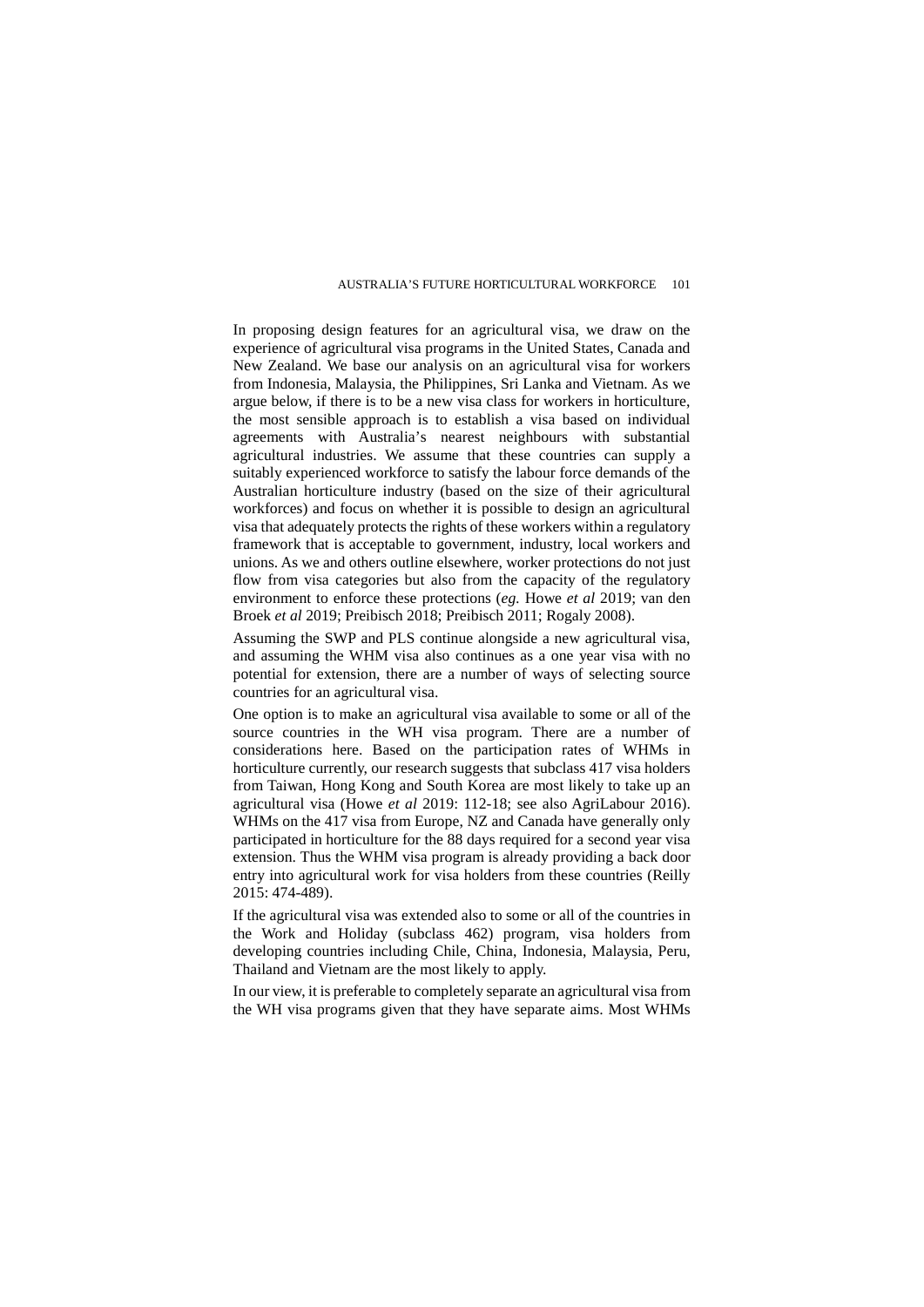In proposing design features for an agricultural visa, we draw on the experience of agricultural visa programs in the United States, Canada and New Zealand. We base our analysis on an agricultural visa for workers from Indonesia, Malaysia, the Philippines, Sri Lanka and Vietnam. As we argue below, if there is to be a new visa class for workers in horticulture, the most sensible approach is to establish a visa based on individual agreements with Australia's nearest neighbours with substantial agricultural industries. We assume that these countries can supply a suitably experienced workforce to satisfy the labour force demands of the Australian horticulture industry (based on the size of their agricultural workforces) and focus on whether it is possible to design an agricultural visa that adequately protects the rights of these workers within a regulatory framework that is acceptable to government, industry, local workers and unions. As we and others outline elsewhere, worker protections do not just flow from visa categories but also from the capacity of the regulatory environment to enforce these protections (*eg.* Howe *et al* 2019; van den Broek *et al* 2019; Preibisch 2018; Preibisch 2011; Rogaly 2008).

Assuming the SWP and PLS continue alongside a new agricultural visa, and assuming the WHM visa also continues as a one year visa with no potential for extension, there are a number of ways of selecting source countries for an agricultural visa.

One option is to make an agricultural visa available to some or all of the source countries in the WH visa program. There are a number of considerations here. Based on the participation rates of WHMs in horticulture currently, our research suggests that subclass 417 visa holders from Taiwan, Hong Kong and South Korea are most likely to take up an agricultural visa (Howe *et al* 2019: 112-18; see also AgriLabour 2016). WHMs on the 417 visa from Europe, NZ and Canada have generally only participated in horticulture for the 88 days required for a second year visa extension. Thus the WHM visa program is already providing a back door entry into agricultural work for visa holders from these countries (Reilly 2015: 474-489).

If the agricultural visa was extended also to some or all of the countries in the Work and Holiday (subclass 462) program, visa holders from developing countries including Chile, China, Indonesia, Malaysia, Peru, Thailand and Vietnam are the most likely to apply.

In our view, it is preferable to completely separate an agricultural visa from the WH visa programs given that they have separate aims. Most WHMs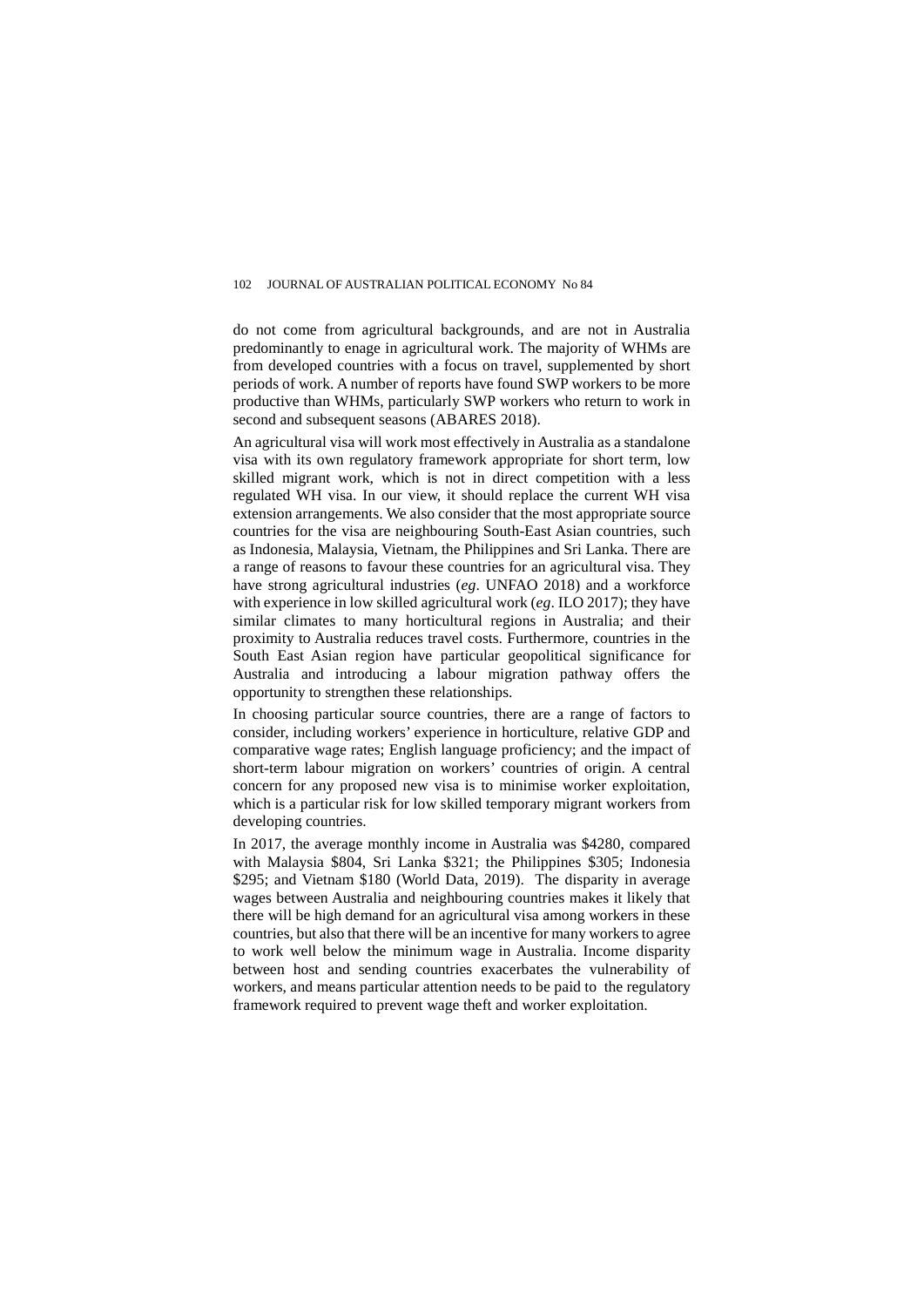do not come from agricultural backgrounds, and are not in Australia predominantly to enage in agricultural work. The majority of WHMs are from developed countries with a focus on travel, supplemented by short periods of work. A number of reports have found SWP workers to be more productive than WHMs, particularly SWP workers who return to work in second and subsequent seasons (ABARES 2018).

An agricultural visa will work most effectively in Australia as a standalone visa with its own regulatory framework appropriate for short term, low skilled migrant work, which is not in direct competition with a less regulated WH visa. In our view, it should replace the current WH visa extension arrangements. We also consider that the most appropriate source countries for the visa are neighbouring South-East Asian countries, such as Indonesia, Malaysia, Vietnam, the Philippines and Sri Lanka. There are a range of reasons to favour these countries for an agricultural visa. They have strong agricultural industries (*eg*. UNFAO 2018) and a workforce with experience in low skilled agricultural work (*eg*. ILO 2017); they have similar climates to many horticultural regions in Australia; and their proximity to Australia reduces travel costs. Furthermore, countries in the South East Asian region have particular geopolitical significance for Australia and introducing a labour migration pathway offers the opportunity to strengthen these relationships.

In choosing particular source countries, there are a range of factors to consider, including workers' experience in horticulture, relative GDP and comparative wage rates; English language proficiency; and the impact of short-term labour migration on workers' countries of origin. A central concern for any proposed new visa is to minimise worker exploitation, which is a particular risk for low skilled temporary migrant workers from developing countries.

In 2017, the average monthly income in Australia was \$4280, compared with Malaysia \$804, Sri Lanka \$321; the Philippines \$305; Indonesia \$295; and Vietnam \$180 (World Data, 2019). The disparity in average wages between Australia and neighbouring countries makes it likely that there will be high demand for an agricultural visa among workers in these countries, but also that there will be an incentive for many workers to agree to work well below the minimum wage in Australia. Income disparity between host and sending countries exacerbates the vulnerability of workers, and means particular attention needs to be paid to the regulatory framework required to prevent wage theft and worker exploitation.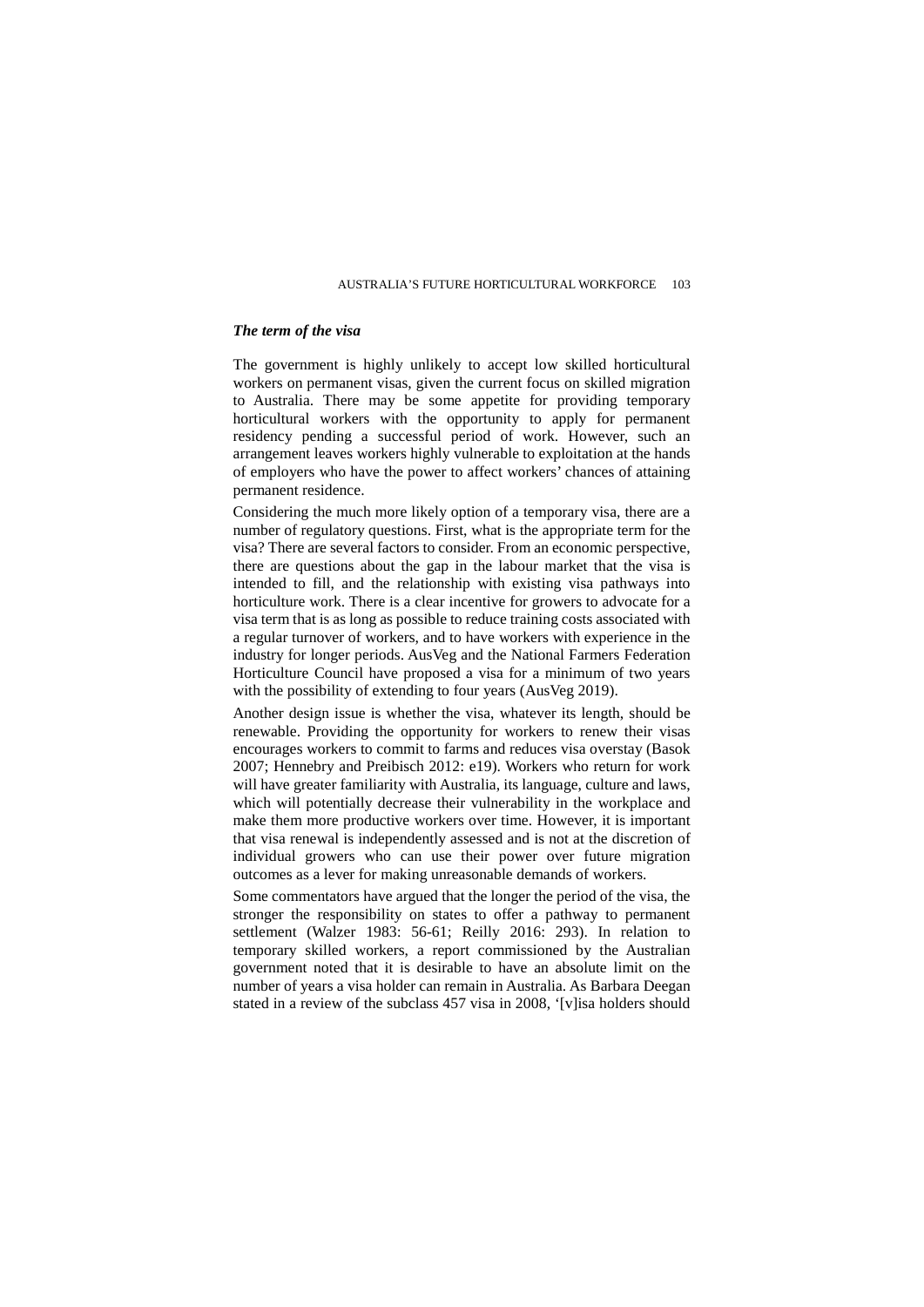# *The term of the visa*

The government is highly unlikely to accept low skilled horticultural workers on permanent visas, given the current focus on skilled migration to Australia. There may be some appetite for providing temporary horticultural workers with the opportunity to apply for permanent residency pending a successful period of work. However, such an arrangement leaves workers highly vulnerable to exploitation at the hands of employers who have the power to affect workers' chances of attaining permanent residence.

Considering the much more likely option of a temporary visa, there are a number of regulatory questions. First, what is the appropriate term for the visa? There are several factors to consider. From an economic perspective, there are questions about the gap in the labour market that the visa is intended to fill, and the relationship with existing visa pathways into horticulture work. There is a clear incentive for growers to advocate for a visa term that is as long as possible to reduce training costs associated with a regular turnover of workers, and to have workers with experience in the industry for longer periods. AusVeg and the National Farmers Federation Horticulture Council have proposed a visa for a minimum of two years with the possibility of extending to four years (AusVeg 2019).

Another design issue is whether the visa, whatever its length, should be renewable. Providing the opportunity for workers to renew their visas encourages workers to commit to farms and reduces visa overstay (Basok 2007; Hennebry and Preibisch 2012: e19). Workers who return for work will have greater familiarity with Australia, its language, culture and laws, which will potentially decrease their vulnerability in the workplace and make them more productive workers over time. However, it is important that visa renewal is independently assessed and is not at the discretion of individual growers who can use their power over future migration outcomes as a lever for making unreasonable demands of workers.

Some commentators have argued that the longer the period of the visa, the stronger the responsibility on states to offer a pathway to permanent settlement (Walzer 1983: 56-61; Reilly 2016: 293). In relation to temporary skilled workers, a report commissioned by the Australian government noted that it is desirable to have an absolute limit on the number of years a visa holder can remain in Australia. As Barbara Deegan stated in a review of the subclass 457 visa in 2008, '[v]isa holders should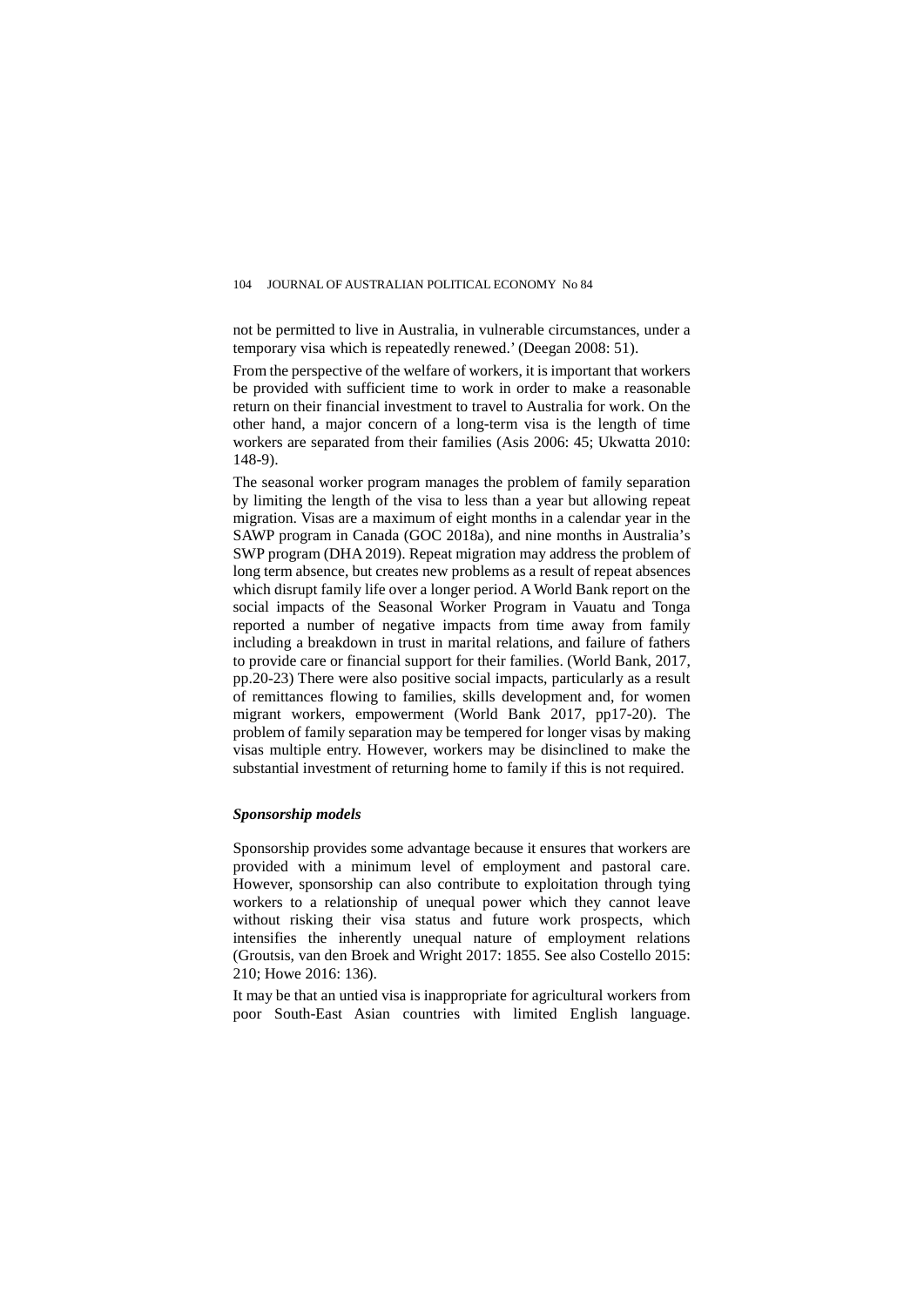not be permitted to live in Australia, in vulnerable circumstances, under a temporary visa which is repeatedly renewed.' (Deegan 2008: 51).

From the perspective of the welfare of workers, it is important that workers be provided with sufficient time to work in order to make a reasonable return on their financial investment to travel to Australia for work. On the other hand, a major concern of a long-term visa is the length of time workers are separated from their families (Asis 2006: 45; Ukwatta 2010: 148-9).

The seasonal worker program manages the problem of family separation by limiting the length of the visa to less than a year but allowing repeat migration. Visas are a maximum of eight months in a calendar year in the SAWP program in Canada (GOC 2018a), and nine months in Australia's SWP program (DHA 2019). Repeat migration may address the problem of long term absence, but creates new problems as a result of repeat absences which disrupt family life over a longer period. A World Bank report on the social impacts of the Seasonal Worker Program in Vauatu and Tonga reported a number of negative impacts from time away from family including a breakdown in trust in marital relations, and failure of fathers to provide care or financial support for their families. (World Bank, 2017, pp.20-23) There were also positive social impacts, particularly as a result of remittances flowing to families, skills development and, for women migrant workers, empowerment (World Bank 2017, pp17-20). The problem of family separation may be tempered for longer visas by making visas multiple entry. However, workers may be disinclined to make the substantial investment of returning home to family if this is not required.

#### *Sponsorship models*

Sponsorship provides some advantage because it ensures that workers are provided with a minimum level of employment and pastoral care. However, sponsorship can also contribute to exploitation through tying workers to a relationship of unequal power which they cannot leave without risking their visa status and future work prospects, which intensifies the inherently unequal nature of employment relations (Groutsis, van den Broek and Wright 2017: 1855. See also Costello 2015: 210; Howe 2016: 136).

It may be that an untied visa is inappropriate for agricultural workers from poor South-East Asian countries with limited English language.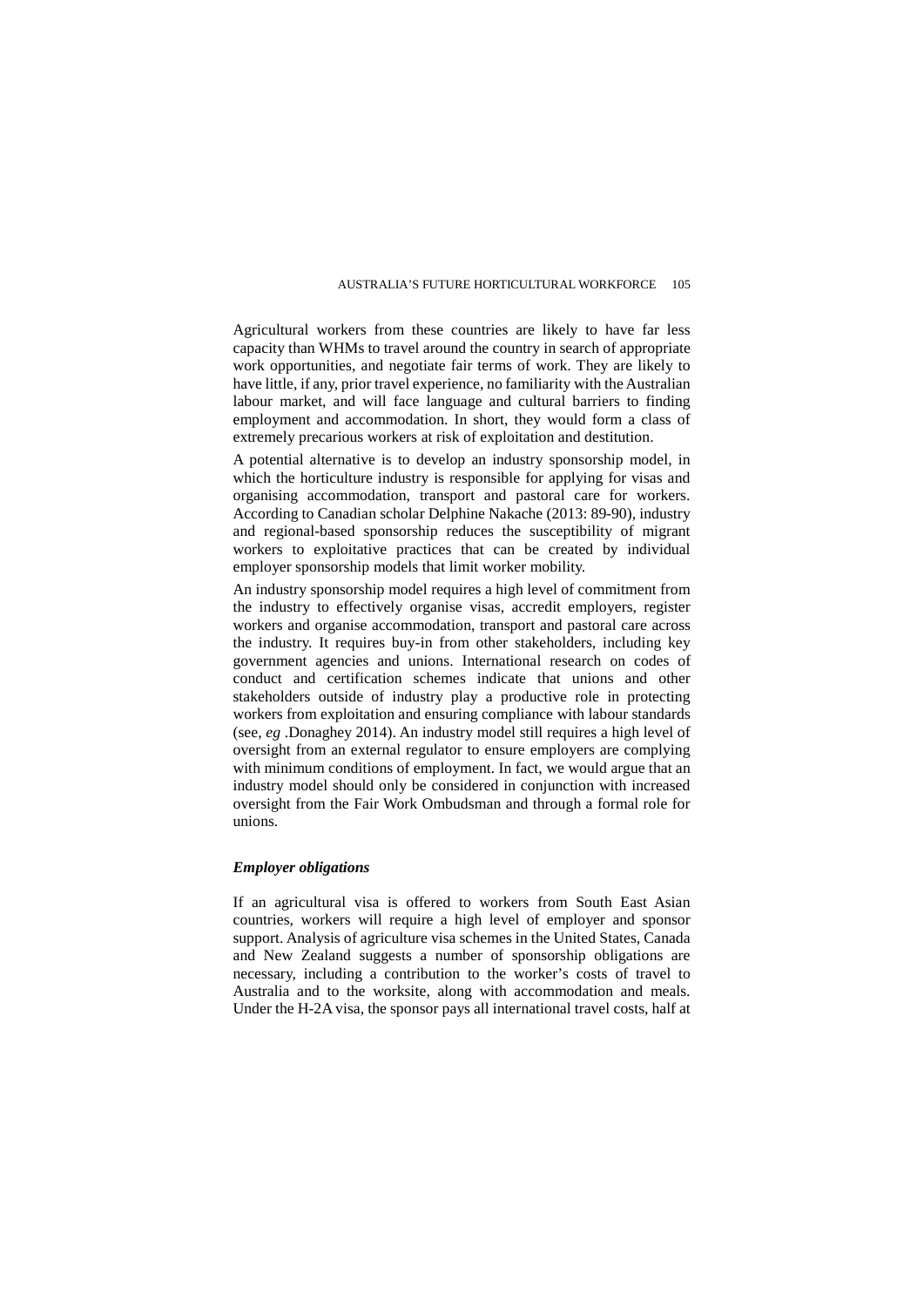Agricultural workers from these countries are likely to have far less capacity than WHMs to travel around the country in search of appropriate work opportunities, and negotiate fair terms of work. They are likely to have little, if any, prior travel experience, no familiarity with the Australian labour market, and will face language and cultural barriers to finding employment and accommodation. In short, they would form a class of extremely precarious workers at risk of exploitation and destitution.

A potential alternative is to develop an industry sponsorship model, in which the horticulture industry is responsible for applying for visas and organising accommodation, transport and pastoral care for workers. According to Canadian scholar Delphine Nakache (2013: 89-90), industry and regional-based sponsorship reduces the susceptibility of migrant workers to exploitative practices that can be created by individual employer sponsorship models that limit worker mobility.

An industry sponsorship model requires a high level of commitment from the industry to effectively organise visas, accredit employers, register workers and organise accommodation, transport and pastoral care across the industry. It requires buy-in from other stakeholders, including key government agencies and unions. International research on codes of conduct and certification schemes indicate that unions and other stakeholders outside of industry play a productive role in protecting workers from exploitation and ensuring compliance with labour standards (see, *eg* .Donaghey 2014). An industry model still requires a high level of oversight from an external regulator to ensure employers are complying with minimum conditions of employment. In fact, we would argue that an industry model should only be considered in conjunction with increased oversight from the Fair Work Ombudsman and through a formal role for unions.

#### *Employer obligations*

If an agricultural visa is offered to workers from South East Asian countries, workers will require a high level of employer and sponsor support. Analysis of agriculture visa schemes in the United States, Canada and New Zealand suggests a number of sponsorship obligations are necessary, including a contribution to the worker's costs of travel to Australia and to the worksite, along with accommodation and meals. Under the H-2A visa, the sponsor pays all international travel costs, half at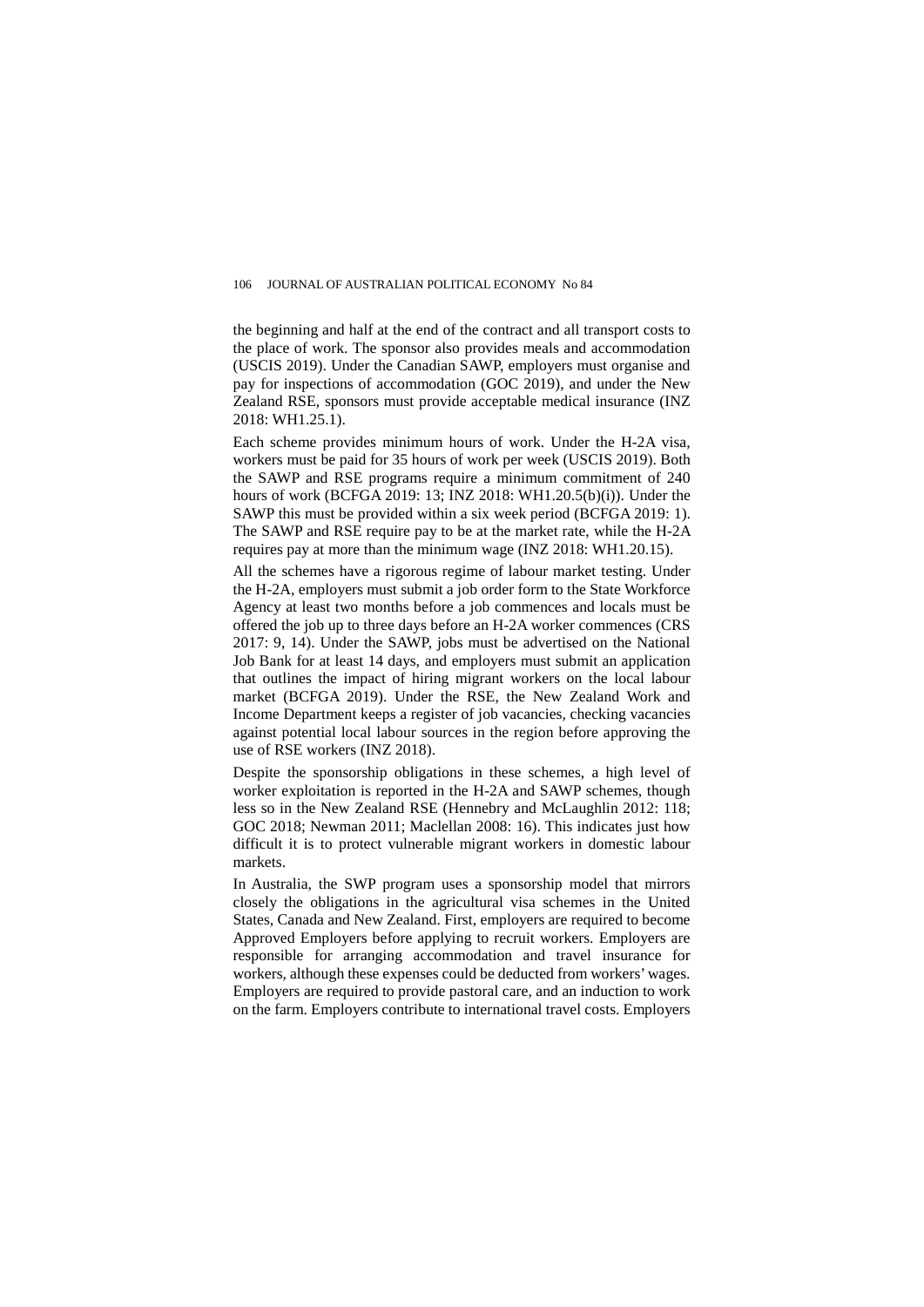the beginning and half at the end of the contract and all transport costs to the place of work. The sponsor also provides meals and accommodation (USCIS 2019). Under the Canadian SAWP, employers must organise and pay for inspections of accommodation (GOC 2019), and under the New Zealand RSE, sponsors must provide acceptable medical insurance (INZ 2018: WH1.25.1).

Each scheme provides minimum hours of work. Under the H-2A visa, workers must be paid for 35 hours of work per week (USCIS 2019). Both the SAWP and RSE programs require a minimum commitment of 240 hours of work (BCFGA 2019: 13; INZ 2018: WH1.20.5(b)(i)). Under the SAWP this must be provided within a six week period (BCFGA 2019: 1). The SAWP and RSE require pay to be at the market rate, while the H-2A requires pay at more than the minimum wage (INZ 2018: WH1.20.15).

All the schemes have a rigorous regime of labour market testing. Under the H-2A, employers must submit a job order form to the State Workforce Agency at least two months before a job commences and locals must be offered the job up to three days before an H-2A worker commences (CRS 2017: 9, 14). Under the SAWP, jobs must be advertised on the National Job Bank for at least 14 days, and employers must submit an application that outlines the impact of hiring migrant workers on the local labour market (BCFGA 2019). Under the RSE, the New Zealand Work and Income Department keeps a register of job vacancies, checking vacancies against potential local labour sources in the region before approving the use of RSE workers (INZ 2018).

Despite the sponsorship obligations in these schemes, a high level of worker exploitation is reported in the H-2A and SAWP schemes, though less so in the New Zealand RSE (Hennebry and McLaughlin 2012: 118; GOC 2018; Newman 2011; Maclellan 2008: 16). This indicates just how difficult it is to protect vulnerable migrant workers in domestic labour markets.

In Australia, the SWP program uses a sponsorship model that mirrors closely the obligations in the agricultural visa schemes in the United States, Canada and New Zealand. First, employers are required to become Approved Employers before applying to recruit workers. Employers are responsible for arranging accommodation and travel insurance for workers, although these expenses could be deducted from workers' wages. Employers are required to provide pastoral care, and an induction to work on the farm. Employers contribute to international travel costs. Employers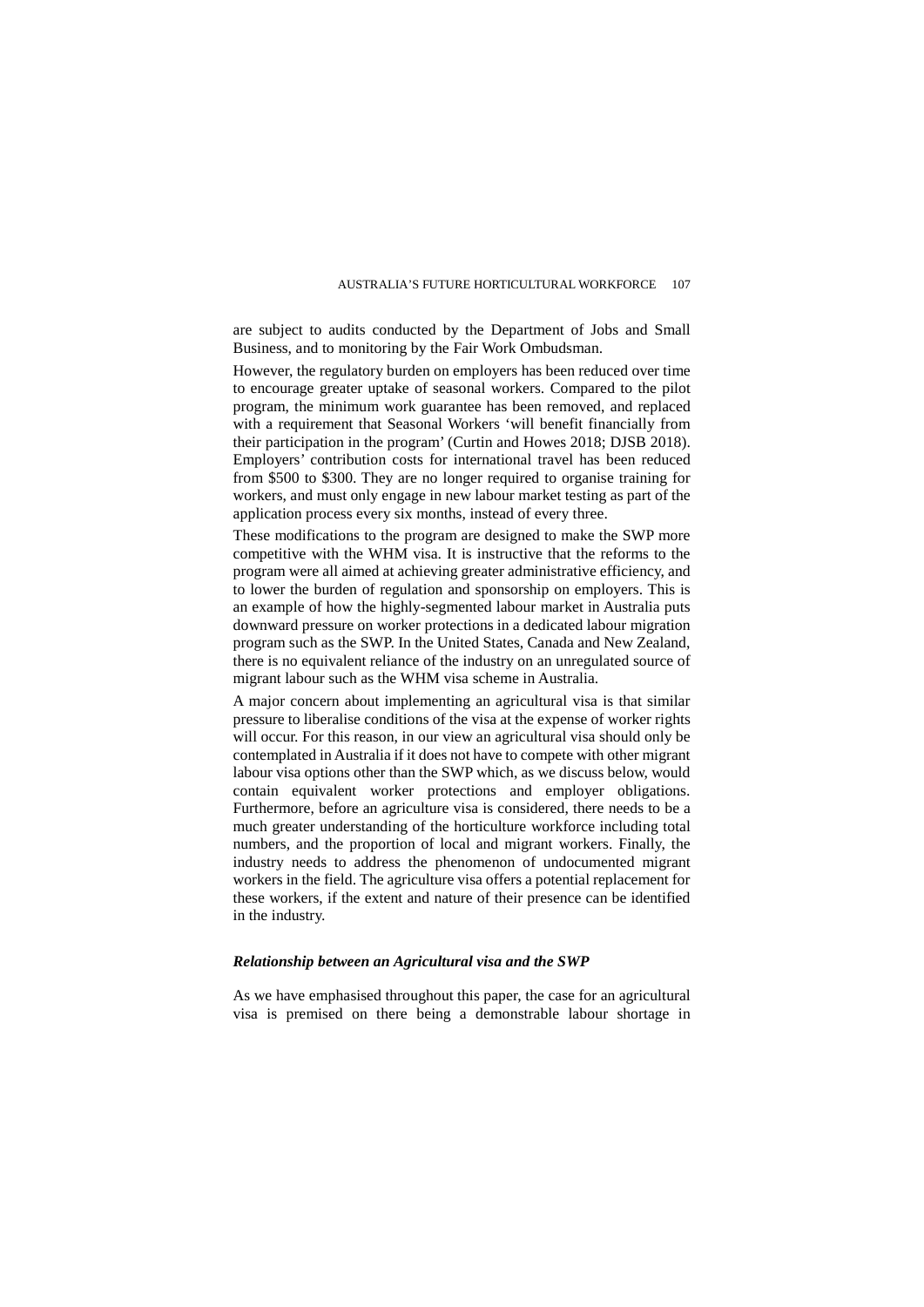are subject to audits conducted by the Department of Jobs and Small Business, and to monitoring by the Fair Work Ombudsman.

However, the regulatory burden on employers has been reduced over time to encourage greater uptake of seasonal workers. Compared to the pilot program, the minimum work guarantee has been removed, and replaced with a requirement that Seasonal Workers 'will benefit financially from their participation in the program' (Curtin and Howes 2018; DJSB 2018). Employers' contribution costs for international travel has been reduced from \$500 to \$300. They are no longer required to organise training for workers, and must only engage in new labour market testing as part of the application process every six months, instead of every three.

These modifications to the program are designed to make the SWP more competitive with the WHM visa. It is instructive that the reforms to the program were all aimed at achieving greater administrative efficiency, and to lower the burden of regulation and sponsorship on employers. This is an example of how the highly-segmented labour market in Australia puts downward pressure on worker protections in a dedicated labour migration program such as the SWP. In the United States, Canada and New Zealand, there is no equivalent reliance of the industry on an unregulated source of migrant labour such as the WHM visa scheme in Australia.

A major concern about implementing an agricultural visa is that similar pressure to liberalise conditions of the visa at the expense of worker rights will occur. For this reason, in our view an agricultural visa should only be contemplated in Australia if it does not have to compete with other migrant labour visa options other than the SWP which, as we discuss below, would contain equivalent worker protections and employer obligations. Furthermore, before an agriculture visa is considered, there needs to be a much greater understanding of the horticulture workforce including total numbers, and the proportion of local and migrant workers. Finally, the industry needs to address the phenomenon of undocumented migrant workers in the field. The agriculture visa offers a potential replacement for these workers, if the extent and nature of their presence can be identified in the industry.

#### *Relationship between an Agricultural visa and the SWP*

As we have emphasised throughout this paper, the case for an agricultural visa is premised on there being a demonstrable labour shortage in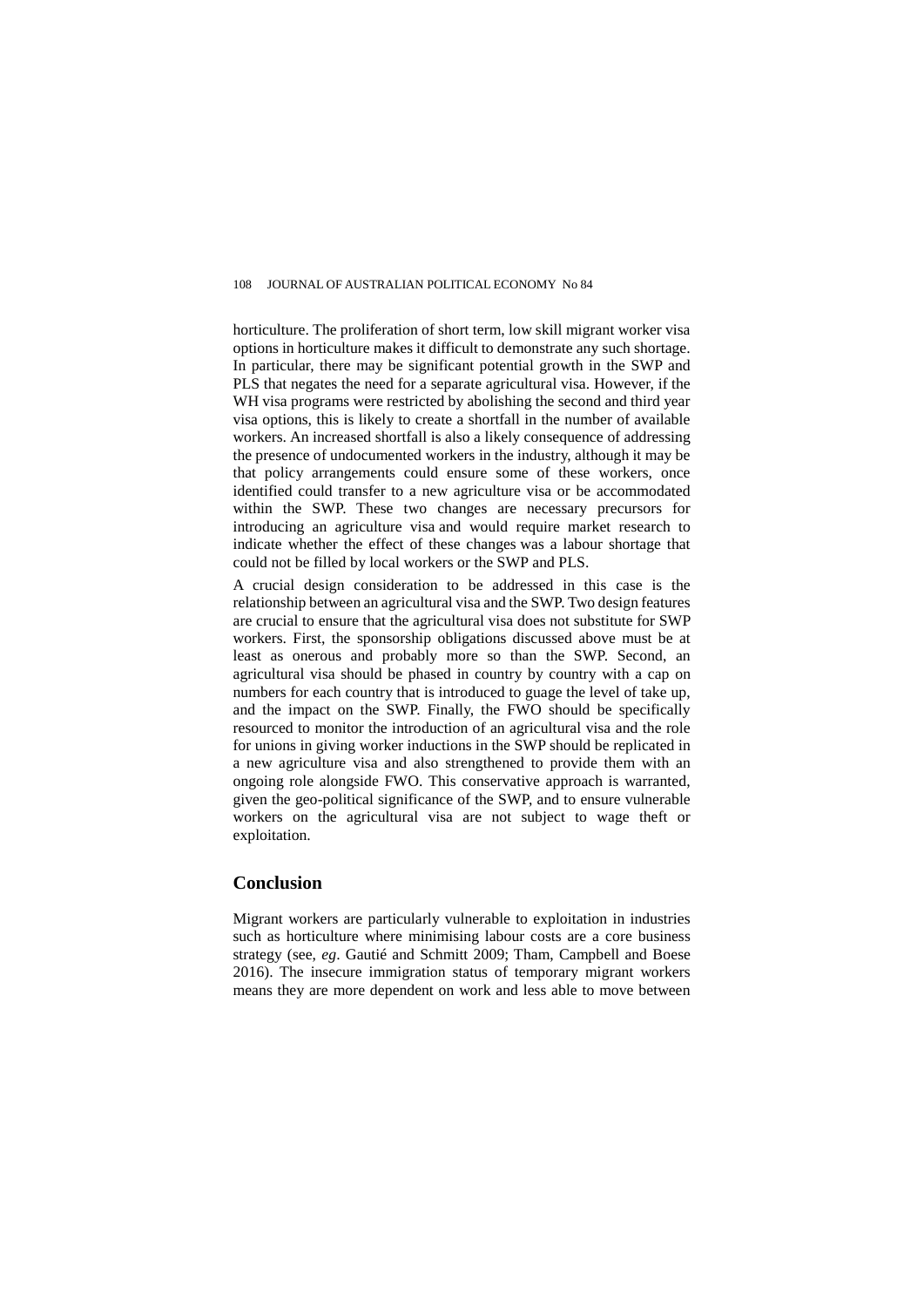horticulture. The proliferation of short term, low skill migrant worker visa options in horticulture makes it difficult to demonstrate any such shortage. In particular, there may be significant potential growth in the SWP and PLS that negates the need for a separate agricultural visa. However, if the WH visa programs were restricted by abolishing the second and third year visa options, this is likely to create a shortfall in the number of available workers. An increased shortfall is also a likely consequence of addressing the presence of undocumented workers in the industry, although it may be that policy arrangements could ensure some of these workers, once identified could transfer to a new agriculture visa or be accommodated within the SWP. These two changes are necessary precursors for introducing an agriculture visa and would require market research to indicate whether the effect of these changes was a labour shortage that could not be filled by local workers or the SWP and PLS.

A crucial design consideration to be addressed in this case is the relationship between an agricultural visa and the SWP. Two design features are crucial to ensure that the agricultural visa does not substitute for SWP workers. First, the sponsorship obligations discussed above must be at least as onerous and probably more so than the SWP. Second, an agricultural visa should be phased in country by country with a cap on numbers for each country that is introduced to guage the level of take up, and the impact on the SWP. Finally, the FWO should be specifically resourced to monitor the introduction of an agricultural visa and the role for unions in giving worker inductions in the SWP should be replicated in a new agriculture visa and also strengthened to provide them with an ongoing role alongside FWO. This conservative approach is warranted, given the geo-political significance of the SWP, and to ensure vulnerable workers on the agricultural visa are not subject to wage theft or exploitation.

# **Conclusion**

Migrant workers are particularly vulnerable to exploitation in industries such as horticulture where minimising labour costs are a core business strategy (see, *eg*. Gautié and Schmitt 2009; Tham, Campbell and Boese 2016). The insecure immigration status of temporary migrant workers means they are more dependent on work and less able to move between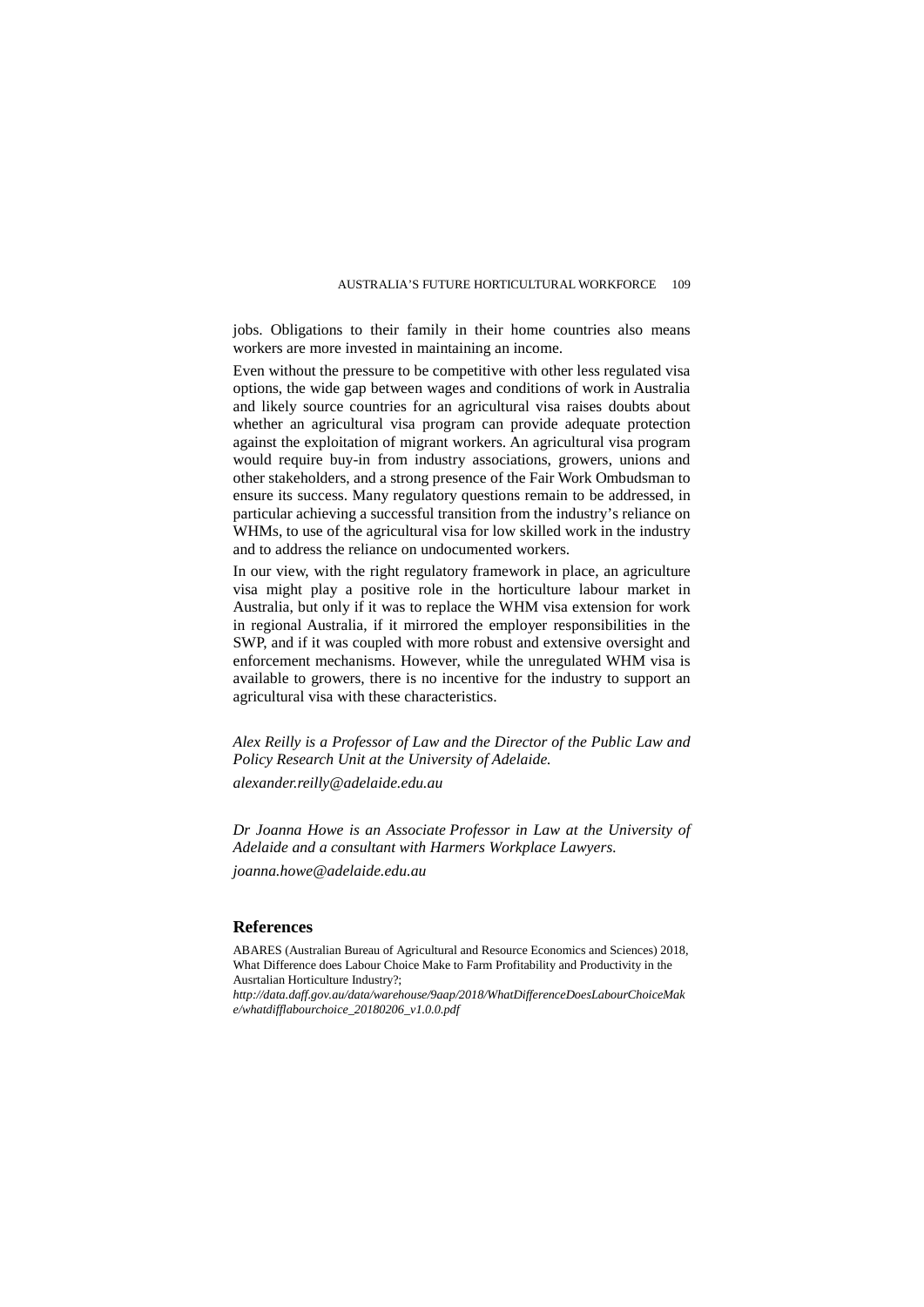jobs. Obligations to their family in their home countries also means workers are more invested in maintaining an income.

Even without the pressure to be competitive with other less regulated visa options, the wide gap between wages and conditions of work in Australia and likely source countries for an agricultural visa raises doubts about whether an agricultural visa program can provide adequate protection against the exploitation of migrant workers. An agricultural visa program would require buy-in from industry associations, growers, unions and other stakeholders, and a strong presence of the Fair Work Ombudsman to ensure its success. Many regulatory questions remain to be addressed, in particular achieving a successful transition from the industry's reliance on WHMs, to use of the agricultural visa for low skilled work in the industry and to address the reliance on undocumented workers.

In our view, with the right regulatory framework in place, an agriculture visa might play a positive role in the horticulture labour market in Australia, but only if it was to replace the WHM visa extension for work in regional Australia, if it mirrored the employer responsibilities in the SWP, and if it was coupled with more robust and extensive oversight and enforcement mechanisms. However, while the unregulated WHM visa is available to growers, there is no incentive for the industry to support an agricultural visa with these characteristics.

*Alex Reilly is a Professor of Law and the Director of the Public Law and Policy Research Unit at the University of Adelaide.* 

*[alexander.reilly@adelaide.edu.au](mailto:alexander.reilly@adelaide.edu.au)*

*Dr Joanna Howe is an Associate Professor in Law at the University of Adelaide and a consultant with Harmers Workplace Lawyers.* 

*[joanna.howe@adelaide.edu.au](mailto:joanna.howe@adelaide.edu.au)*

#### **References**

ABARES (Australian Bureau of Agricultural and Resource Economics and Sciences) 2018, What Difference does Labour Choice Make to Farm Profitability and Productivity in the Ausrtalian Horticulture Industry?;

*[http://data.daff.gov.au/data/warehouse/9aap/2018/WhatDifferenceDoesLabourChoiceMak](http://data.daff.gov.au/data/warehouse/9aap/2018/WhatDifferenceDoesLabourChoiceMake/whatdifflabourchoice_20180206_v1.0.0.pdf) [e/whatdifflabourchoice\\_20180206\\_v1.0.0.pdf](http://data.daff.gov.au/data/warehouse/9aap/2018/WhatDifferenceDoesLabourChoiceMake/whatdifflabourchoice_20180206_v1.0.0.pdf)*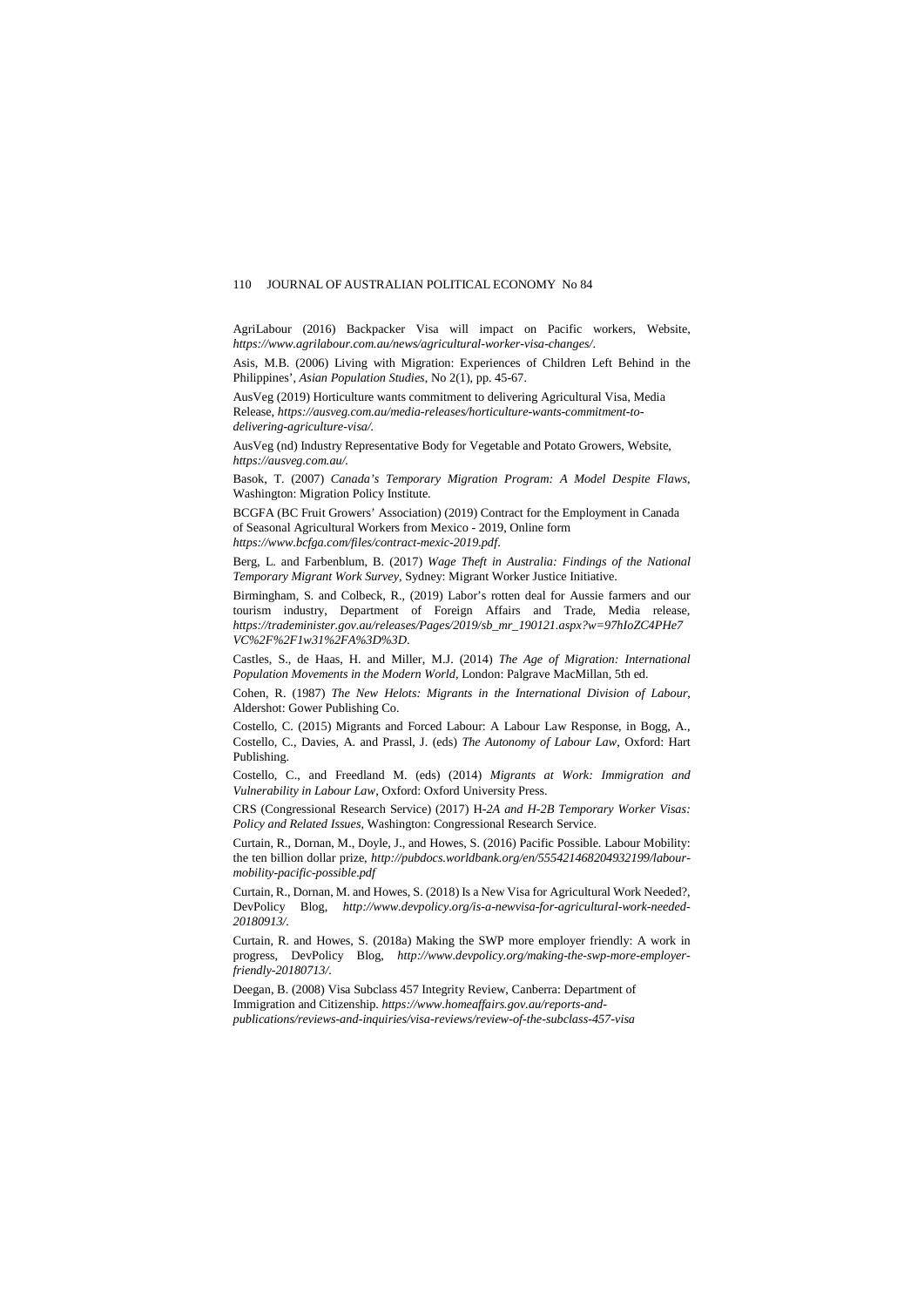AgriLabour (2016) Backpacker Visa will impact on Pacific workers, Website, *https://www.agrilabour.com.au/news/agricultural-worker-visa-changes/*.

Asis, M.B. (2006) Living with Migration: Experiences of Children Left Behind in the Philippines', *Asian Population Studies*, No 2(1), pp. 45-67.

AusVeg (2019) Horticulture wants commitment to delivering Agricultural Visa, Media Release, *https://ausveg.com.au/media-releases/horticulture-wants-commitment-todelivering-agriculture-visa/.*

AusVeg (nd) Industry Representative Body for Vegetable and Potato Growers, Website, *https://ausveg.com.au/.*

Basok, T. (2007) *Canada's Temporary Migration Program: A Model Despite Flaws*, Washington: Migration Policy Institute.

BCGFA (BC Fruit Growers' Association) (2019) Contract for the Employment in Canada of Seasonal Agricultural Workers from Mexico - 2019, Online form

*https://www.bcfga.com/files/contract-mexic-2019.pdf*.

Berg, L. and Farbenblum, B. (2017) *Wage Theft in Australia: Findings of the National Temporary Migrant Work Survey*, Sydney: Migrant Worker Justice Initiative.

Birmingham, S. and Colbeck, R., (2019) Labor's rotten deal for Aussie farmers and our tourism industry, Department of Foreign Affairs and Trade, Media release, *https://trademinister.gov.au/releases/Pages/2019/sb\_mr\_190121.aspx?w=97hIoZC4PHe7 VC%2F%2F1w31%2FA%3D%3D*.

Castles, S., de Haas, H. and Miller, M.J. (2014) *The Age of Migration: International Population Movements in the Modern World*, London: Palgrave MacMillan, 5th ed.

Cohen, R. (1987) *The New Helots: Migrants in the International Division of Labour*, Aldershot: Gower Publishing Co.

Costello, C. (2015) Migrants and Forced Labour: A Labour Law Response, in Bogg, A., Costello, C., Davies, A. and Prassl, J. (eds) *The Autonomy of Labour Law*, Oxford: Hart Publishing.

Costello, C., and Freedland M. (eds) (2014) *Migrants at Work: Immigration and Vulnerability in Labour Law*, Oxford: Oxford University Press.

CRS (Congressional Research Service) (2017) H*-2A and H-2B Temporary Worker Visas: Policy and Related Issues*, Washington: Congressional Research Service.

Curtain, R., Dornan, M., Doyle, J., and Howes, S. (2016) Pacific Possible. Labour Mobility: the ten billion dollar prize, *[http://pubdocs.worldbank.org/en/555421468204932199/labour](http://pubdocs.worldbank.org/en/555421468204932199/labour-mobility-pacific-possible.pdf)[mobility-pacific-possible.pdf](http://pubdocs.worldbank.org/en/555421468204932199/labour-mobility-pacific-possible.pdf)*

Curtain, R., Dornan, M. and Howes, S. (2018) Is a New Visa for Agricultural Work Needed?, DevPolicy Blog, *http://www.devpolicy.org/is-a-newvisa-for-agricultural-work-needed-20180913/.*

Curtain, R. and Howes, S. (2018a) Making the SWP more employer friendly: A work in progress, DevPolicy Blog, *http://www.devpolicy.org/making-the-swp-more-employerfriendly-20180713/.*

Deegan, B. (2008) Visa Subclass 457 Integrity Review, Canberra: Department of Immigration and Citizenship. *[https://www.homeaffairs.gov.au/reports-and](https://www.homeaffairs.gov.au/reports-and-publications/reviews-and-inquiries/visa-reviews/review-of-the-subclass-457-visa)[publications/reviews-and-inquiries/visa-reviews/review-of-the-subclass-457-visa](https://www.homeaffairs.gov.au/reports-and-publications/reviews-and-inquiries/visa-reviews/review-of-the-subclass-457-visa)*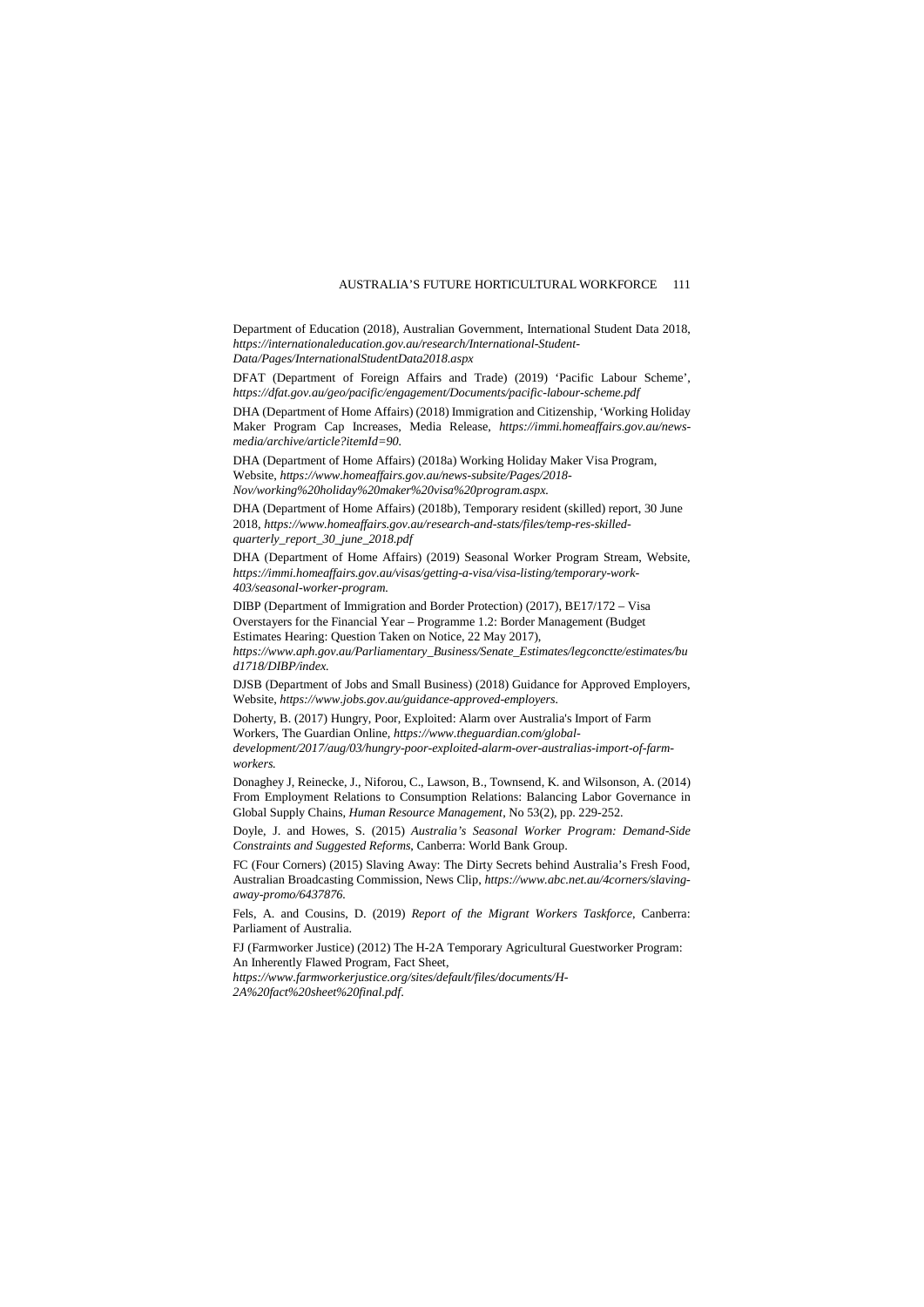Department of Education (2018), Australian Government, International Student Data 2018, *[https://internationaleducation.gov.au/research/International-Student-](https://internationaleducation.gov.au/research/International-Student-Data/Pages/InternationalStudentData2018.aspx)[Data/Pages/InternationalStudentData2018.aspx](https://internationaleducation.gov.au/research/International-Student-Data/Pages/InternationalStudentData2018.aspx)*

DFAT (Department of Foreign Affairs and Trade) (2019) 'Pacific Labour Scheme', *https://dfat.gov.au/geo/pacific/engagement/Documents/pacific-labour-scheme.pdf*

DHA (Department of Home Affairs) (2018) Immigration and Citizenship, 'Working Holiday Maker Program Cap Increases, Media Release, *https://immi.homeaffairs.gov.au/newsmedia/archive/article?itemId=90.*

DHA (Department of Home Affairs) (2018a) Working Holiday Maker Visa Program, Website, *https://www.homeaffairs.gov.au/news-subsite/Pages/2018- Nov/working%20holiday%20maker%20visa%20program.aspx.*

DHA (Department of Home Affairs) (2018b), Temporary resident (skilled) report, 30 June 2018, *[https://www.homeaffairs.gov.au/research-and-stats/files/temp-res-skilled](https://www.homeaffairs.gov.au/research-and-stats/files/temp-res-skilled-quarterly_report_30_june_2018.pdf)[quarterly\\_report\\_30\\_june\\_2018.pdf](https://www.homeaffairs.gov.au/research-and-stats/files/temp-res-skilled-quarterly_report_30_june_2018.pdf)* 

DHA (Department of Home Affairs) (2019) Seasonal Worker Program Stream, Website, *https://immi.homeaffairs.gov.au/visas/getting-a-visa/visa-listing/temporary-work-403/seasonal-worker-program.*

DIBP (Department of Immigration and Border Protection) (2017), BE17/172 – Visa Overstayers for the Financial Year – Programme 1.2: Border Management (Budget Estimates Hearing: Question Taken on Notice, 22 May 2017),

*[https://www.aph.gov.au/Parliamentary\\_Business/Senate\\_Estimates/legconctte/estimates/bu](https://www.aph.gov.au/Parliamentary_Business/Senate_Estimates/legconctte/estimates/bud1718/DIBP/index) [d1718/DIBP/index.](https://www.aph.gov.au/Parliamentary_Business/Senate_Estimates/legconctte/estimates/bud1718/DIBP/index)* 

DJSB (Department of Jobs and Small Business) (2018) Guidance for Approved Employers, Website, *https://www.jobs.gov.au/guidance-approved-employers.*

Doherty, B. (2017) Hungry, Poor, Exploited: Alarm over Australia's Import of Farm Workers, The Guardian Online, *https://www.theguardian.com/globaldevelopment/2017/aug/03/hungry-poor-exploited-alarm-over-australias-import-of-farm-*

*workers.*

Donaghey J, Reinecke, J., Niforou, C., Lawson, B., Townsend, K. and Wilsonson, A. (2014) From Employment Relations to Consumption Relations: Balancing Labor Governance in Global Supply Chains, *Human Resource Management*, No 53(2), pp. 229-252.

Doyle, J. and Howes, S. (2015) *Australia's Seasonal Worker Program: Demand-Side Constraints and Suggested Reforms*, Canberra: World Bank Group.

FC (Four Corners) (2015) Slaving Away: The Dirty Secrets behind Australia's Fresh Food, Australian Broadcasting Commission, News Clip, *https://www.abc.net.au/4corners/slavingaway-promo/6437876.*

Fels, A. and Cousins, D. (2019) *Report of the Migrant Workers Taskforce*, Canberra: Parliament of Australia.

FJ (Farmworker Justice) (2012) The H-2A Temporary Agricultural Guestworker Program: An Inherently Flawed Program, Fact Sheet,

*https://www.farmworkerjustice.org/sites/default/files/documents/H-2A%20fact%20sheet%20final.pdf*.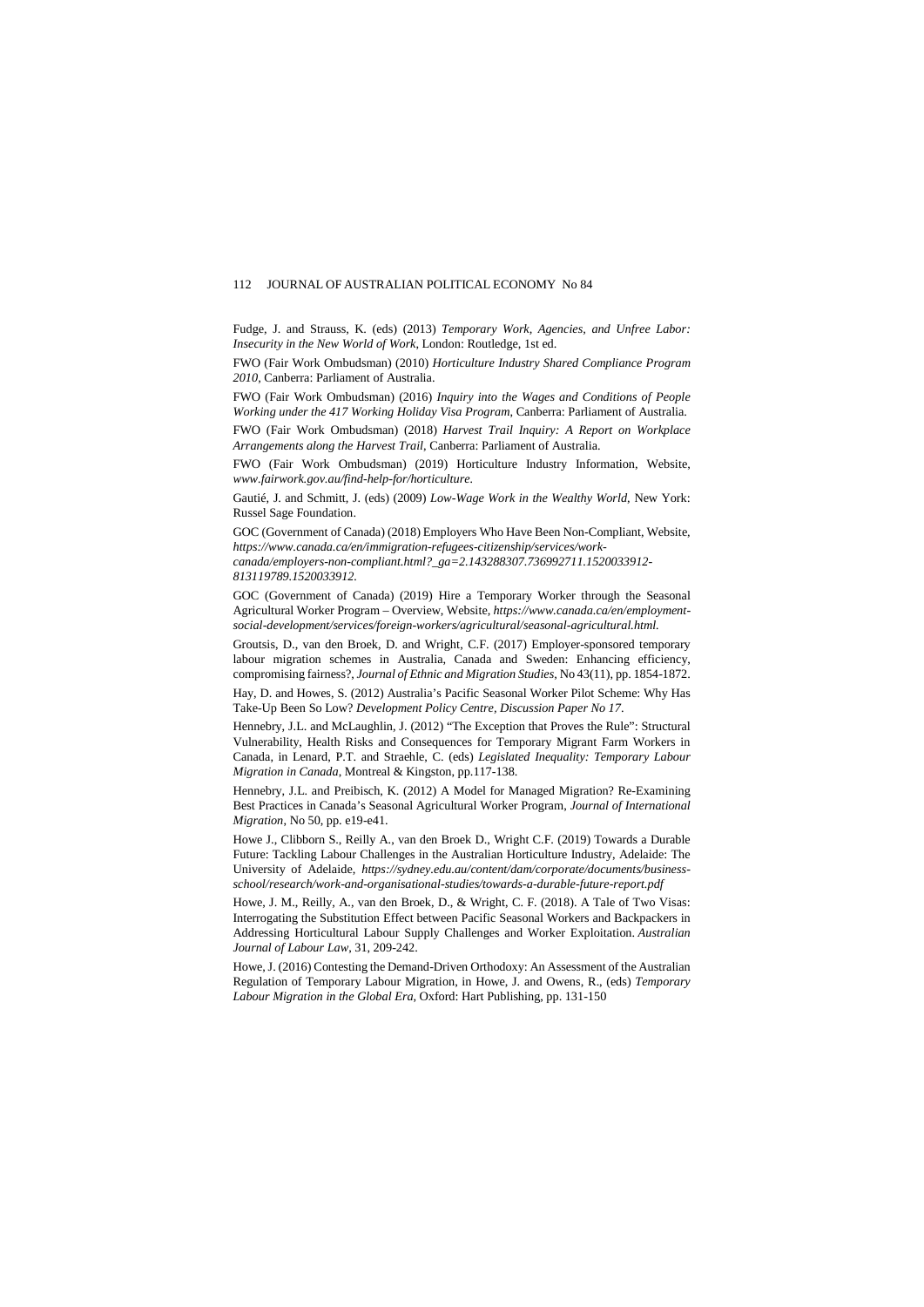Fudge, J. and Strauss, K. (eds) (2013) *Temporary Work, Agencies, and Unfree Labor: Insecurity in the New World of Work*, London: Routledge, 1st ed.

FWO (Fair Work Ombudsman) (2010) *Horticulture Industry Shared Compliance Program 2010*, Canberra: Parliament of Australia.

FWO (Fair Work Ombudsman) (2016) *Inquiry into the Wages and Conditions of People Working under the 417 Working Holiday Visa Program*, Canberra: Parliament of Australia.

FWO (Fair Work Ombudsman) (2018) *Harvest Trail Inquiry: A Report on Workplace Arrangements along the Harvest Trail*, Canberra: Parliament of Australia.

FWO (Fair Work Ombudsman) (2019) Horticulture Industry Information, Website, *www.fairwork.gov.au/find-help-for/horticulture.* 

Gautié, J. and Schmitt, J. (eds) (2009) *Low-Wage Work in the Wealthy World*, New York: Russel Sage Foundation.

GOC (Government of Canada) (2018) Employers Who Have Been Non-Compliant, Website, *https://www.canada.ca/en/immigration-refugees-citizenship/services/workcanada/employers-non-compliant.html?\_ga=2.143288307.736992711.1520033912- 813119789.1520033912.*

GOC (Government of Canada) (2019) Hire a Temporary Worker through the Seasonal Agricultural Worker Program – Overview, Website, *https://www.canada.ca/en/employmentsocial-development/services/foreign-workers/agricultural/seasonal-agricultural.html.*

Groutsis, D., van den Broek, D. and Wright, C.F. (2017) Employer-sponsored temporary labour migration schemes in Australia, Canada and Sweden: Enhancing efficiency, compromising fairness?, *Journal of Ethnic and Migration Studies*, No 43(11), pp. 1854-1872.

Hay, D. and Howes, S. (2012) Australia's Pacific Seasonal Worker Pilot Scheme: Why Has Take-Up Been So Low? *Development Policy Centre, Discussion Paper No 17*.

Hennebry, J.L. and McLaughlin, J. (2012) "The Exception that Proves the Rule": Structural Vulnerability, Health Risks and Consequences for Temporary Migrant Farm Workers in Canada, in Lenard, P.T. and Straehle, C. (eds) *Legislated Inequality: Temporary Labour Migration in Canada*, Montreal & Kingston, pp.117-138.

Hennebry, J.L. and Preibisch, K. (2012) A Model for Managed Migration? Re-Examining Best Practices in Canada's Seasonal Agricultural Worker Program, *Journal of International Migration*, No 50, pp. e19-e41.

Howe J., Clibborn S., Reilly A., van den Broek D., Wright C.F. (2019) Towards a Durable Future: Tackling Labour Challenges in the Australian Horticulture Industry, Adelaide: The University of Adelaide, *[https://sydney.edu.au/content/dam/corporate/documents/business](https://sydney.edu.au/content/dam/corporate/documents/business-school/research/work-and-organisational-studies/towards-a-durable-future-report.pdf)[school/research/work-and-organisational-studies/towards-a-durable-future-report.pdf](https://sydney.edu.au/content/dam/corporate/documents/business-school/research/work-and-organisational-studies/towards-a-durable-future-report.pdf)*

Howe, J. M., Reilly, A., van den Broek, D., & Wright, C. F. (2018). A Tale of Two Visas: Interrogating the Substitution Effect between Pacific Seasonal Workers and Backpackers in Addressing Horticultural Labour Supply Challenges and Worker Exploitation. *Australian Journal of Labour Law*, 31, 209-242.

Howe, J. (2016) Contesting the Demand-Driven Orthodoxy: An Assessment of the Australian Regulation of Temporary Labour Migration, in Howe, J. and Owens, R., (eds) *Temporary Labour Migration in the Global Era*, Oxford: Hart Publishing, pp. 131-150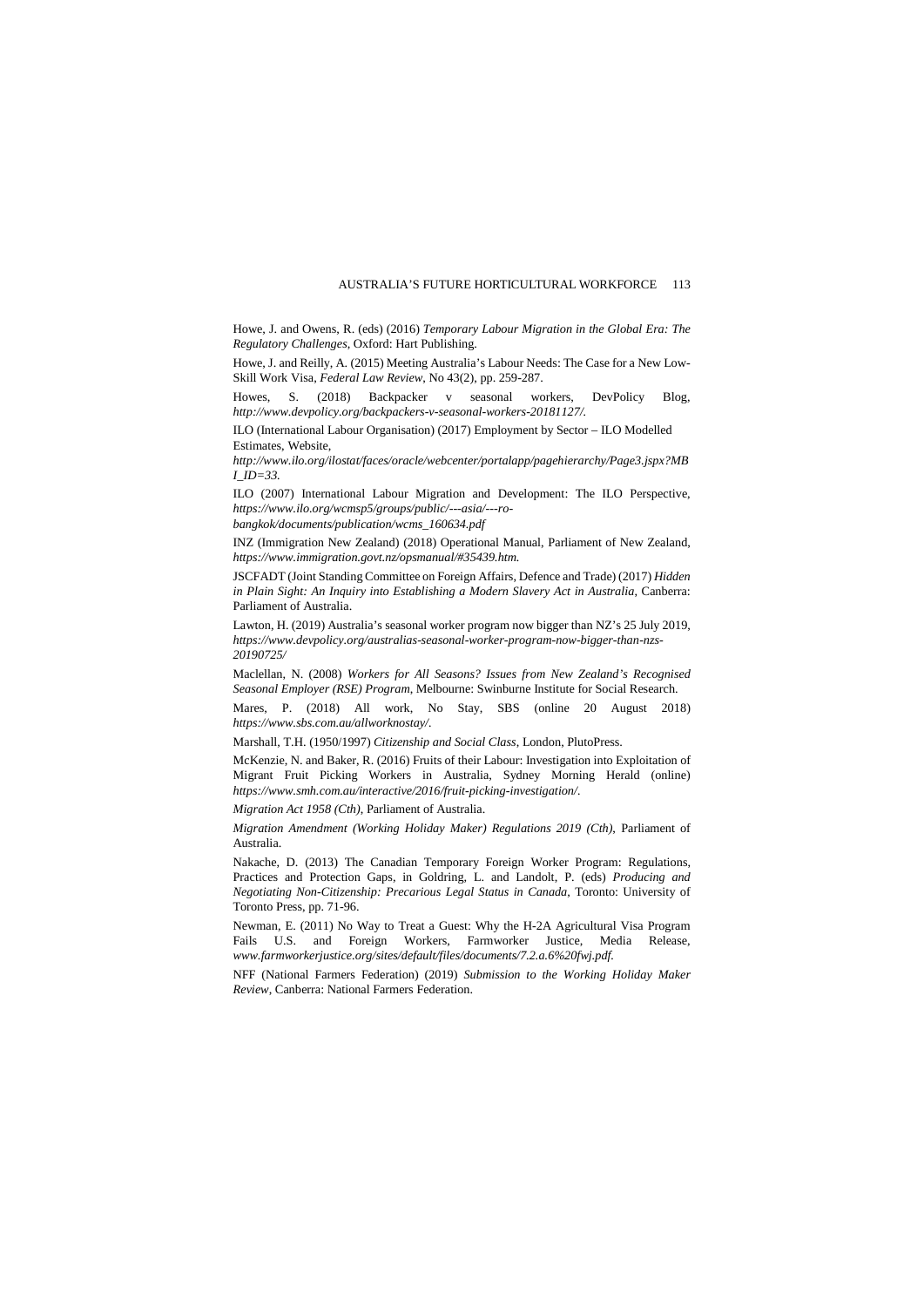Howe, J. and Owens, R. (eds) (2016) *Temporary Labour Migration in the Global Era: The Regulatory Challenges*, Oxford: Hart Publishing.

Howe, J. and Reilly, A. (2015) Meeting Australia's Labour Needs: The Case for a New Low-Skill Work Visa, *Federal Law Review*, No 43(2), pp. 259-287.

Howes, S. (2018) Backpacker v seasonal workers, DevPolicy Blog, *http://www.devpolicy.org/backpackers-v-seasonal-workers-20181127/.*

ILO (International Labour Organisation) (2017) Employment by Sector – ILO Modelled Estimates, Website,

*http://www.ilo.org/ilostat/faces/oracle/webcenter/portalapp/pagehierarchy/Page3.jspx?MB I\_ID=33.*

ILO (2007) International Labour Migration and Development: The ILO Perspective, *https://www.ilo.org/wcmsp5/groups/public/---asia/---ro-*

*bangkok/documents/publication/wcms\_160634.pdf* 

INZ (Immigration New Zealand) (2018) Operational Manual, Parliament of New Zealand, *https://www.immigration.govt.nz/opsmanual/#35439.htm.* 

JSCFADT (Joint Standing Committee on Foreign Affairs, Defence and Trade) (2017) *Hidden*  in Plain Sight: An Inquiry into Establishing a Modern Slavery Act in Australia, Canberra: Parliament of Australia.

Lawton, H. (2019) Australia's seasonal worker program now bigger than NZ's 25 July 2019, *[https://www.devpolicy.org/australias-seasonal-worker-program-now-bigger-than-nzs-](https://www.devpolicy.org/australias-seasonal-worker-program-now-bigger-than-nzs-20190725/)[20190725/](https://www.devpolicy.org/australias-seasonal-worker-program-now-bigger-than-nzs-20190725/)* 

Maclellan, N. (2008) *Workers for All Seasons? Issues from New Zealand's Recognised Seasonal Employer (RSE) Program*, Melbourne: Swinburne Institute for Social Research.

Mares, P. (2018) All work, No Stay, SBS (online 20 August 2018) *https://www.sbs.com.au/allworknostay/.*

Marshall, T.H. (1950/1997) *Citizenship and Social Class*, London, PlutoPress.

McKenzie, N. and Baker, R. (2016) Fruits of their Labour: Investigation into Exploitation of Migrant Fruit Picking Workers in Australia, Sydney Morning Herald (online) *https://www.smh.com.au/interactive/2016/fruit-picking-investigation/.*

*Migration Act 1958 (Cth)*, Parliament of Australia.

*Migration Amendment (Working Holiday Maker) Regulations 2019 (Cth)*, Parliament of Australia.

Nakache, D. (2013) The Canadian Temporary Foreign Worker Program: Regulations, Practices and Protection Gaps, in Goldring, L. and Landolt, P. (eds) *Producing and Negotiating Non-Citizenship: Precarious Legal Status in Canada*, Toronto: University of Toronto Press, pp. 71-96.

Newman, E. (2011) No Way to Treat a Guest: Why the H-2A Agricultural Visa Program Fails U.S. and Foreign Workers, Farmworker Justice, Media Release, *www.farmworkerjustice.org/sites/default/files/documents/7.2.a.6%20fwj.pdf.*

NFF (National Farmers Federation) (2019) *Submission to the Working Holiday Maker Review*, Canberra: National Farmers Federation.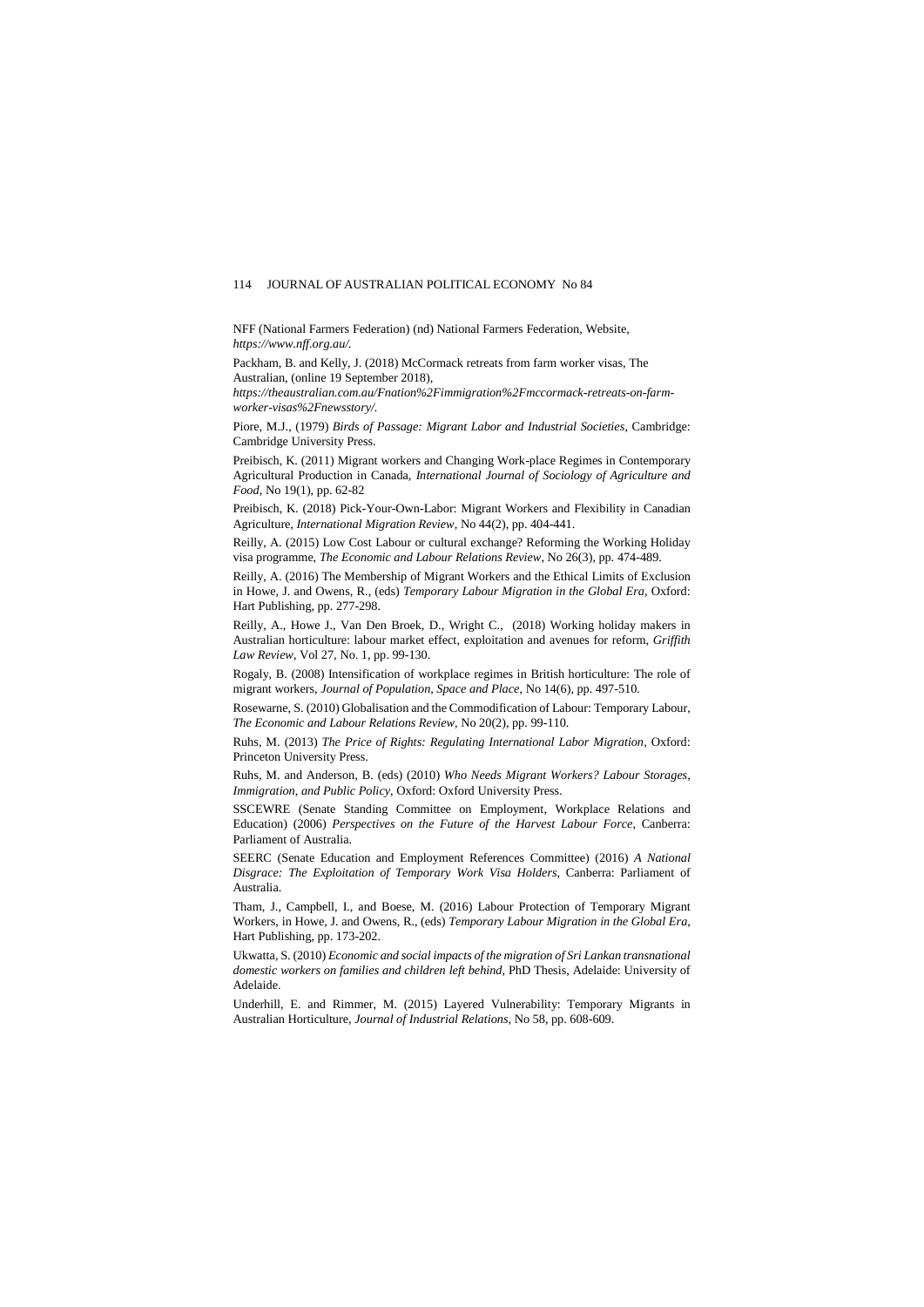NFF (National Farmers Federation) (nd) National Farmers Federation, Website, *https://www.nff.org.au/.*

Packham, B. and Kelly, J. (2018) McCormack retreats from farm worker visas, The Australian, (online 19 September 2018),

*https://theaustralian.com.au/Fnation%2Fimmigration%2Fmccormack-retreats-on-farmworker-visas%2Fnewsstory/.*

Piore, M.J., (1979) *Birds of Passage: Migrant Labor and Industrial Societies*, Cambridge: Cambridge University Press.

Preibisch, K. (2011) Migrant workers and Changing Work-place Regimes in Contemporary Agricultural Production in Canada, *International Journal of Sociology of Agriculture and Food*, No 19(1), pp. 62-82

Preibisch, K. (2018) Pick-Your-Own-Labor: Migrant Workers and Flexibility in Canadian Agriculture, *International Migration Review*, No 44(2), pp. 404-441.

Reilly, A. (2015) Low Cost Labour or cultural exchange? Reforming the Working Holiday visa programme, *The Economic and Labour Relations Review*, No 26(3), pp. 474-489.

Reilly, A. (2016) The Membership of Migrant Workers and the Ethical Limits of Exclusion in Howe, J. and Owens, R., (eds) *Temporary Labour Migration in the Global Era*, Oxford: Hart Publishing, pp. 277-298.

Reilly, A., Howe J., Van Den Broek, D., Wright C., (2018) Working holiday makers in Australian horticulture: labour market effect, exploitation and avenues for reform, *Griffith Law Review*, Vol 27, No. 1, pp. 99-130.

Rogaly, B. (2008) Intensification of workplace regimes in British horticulture: The role of migrant workers, *Journal of Population, Space and Place*, No 14(6), pp. 497-510.

Rosewarne, S. (2010) Globalisation and the Commodification of Labour: Temporary Labour, *The Economic and Labour Relations Review*, No 20(2), pp. 99-110.

Ruhs, M. (2013) *The Price of Rights: Regulating International Labor Migration*, Oxford: Princeton University Press.

Ruhs, M. and Anderson, B. (eds) (2010) *Who Needs Migrant Workers? Labour Storages, Immigration, and Public Policy*, Oxford: Oxford University Press.

SSCEWRE (Senate Standing Committee on Employment, Workplace Relations and Education) (2006) *Perspectives on the Future of the Harvest Labour Force*, Canberra: Parliament of Australia.

SEERC (Senate Education and Employment References Committee) (2016) *A National Disgrace: The Exploitation of Temporary Work Visa Holders*, Canberra: Parliament of Australia.

Tham, J., Campbell, I., and Boese, M. (2016) Labour Protection of Temporary Migrant Workers, in Howe, J. and Owens, R., (eds) *Temporary Labour Migration in the Global Era*, Hart Publishing, pp. 173-202.

Ukwatta, S. (2010) *Economic and social impacts of the migration of Sri Lankan transnational domestic workers on families and children left behind*, PhD Thesis, Adelaide: University of **Adelaide** 

Underhill, E. and Rimmer, M. (2015) Layered Vulnerability: Temporary Migrants in Australian Horticulture, *Journal of Industrial Relations*, No 58, pp. 608-609.